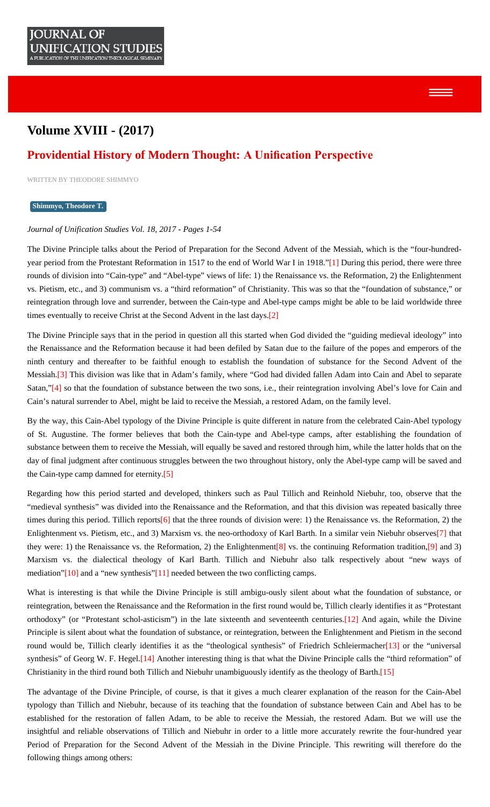# <span id="page-0-0"></span>**Volume XVIII - (2017)**

# **[Providential History of Modern Thought:](#page-0-0) [A Unifcation Perspective](#page-0-0)**

WRITTEN BY THEODORE SHIMMYO

#### **Shimmyo, Theodore T.**

#### *Journal of Unification Studies Vol. 18, 2017 - Pages 1-54*

<span id="page-0-1"></span>The Divine Principle talks about the Period of Preparation for the Second Advent of the Messiah, which is the "four-hundredyear period from the Protestant Reformation in 1517 to the end of World War I in 1918.["\[1\]](#page-22-0) During this period, there were three rounds of division into "Cain-type" and "Abel-type" views of life: 1) the Renaissance vs. the Reformation, 2) the Enlightenment vs. Pietism, etc., and 3) communism vs. a "third reformation" of Christianity. This was so that the "foundation of substance," or reintegration through love and surrender, between the Cain-type and Abel-type camps might be able to be laid worldwide three times eventually to receive Christ at the Second Advent in the last days.<sup>[\[2\]](#page-22-1)</sup>

 $\equiv$   $\equiv$ 

<span id="page-0-3"></span><span id="page-0-2"></span>The Divine Principle says that in the period in question all this started when God divided the "guiding medieval ideology" into the Renaissance and the Reformation because it had been defiled by Satan due to the failure of the popes and emperors of the ninth century and thereafter to be faithful enough to establish the foundation of substance for the Second Advent of the Messiah.[\[3\]](#page-22-2) This division was like that in Adam's family, where "God had divided fallen Adam into Cain and Abel to separate Satan,["\[4\]](#page-22-3) so that the foundation of substance between the two sons, i.e., their reintegration involving Abel's love for Cain and Cain's natural surrender to Abel, might be laid to receive the Messiah, a restored Adam, on the family level.

<span id="page-0-4"></span>By the way, this Cain-Abel typology of the Divine Principle is quite different in nature from the celebrated Cain-Abel typology of St. Augustine. The former believes that both the Cain-type and Abel-type camps, after establishing the foundation of substance between them to receive the Messiah, will equally be saved and restored through him, while the latter holds that on the day of final judgment after continuous struggles between the two throughout history, only the Abel-type camp will be saved and the Cain-type camp damned for eternity[.\[5\]](#page-22-4)

<span id="page-0-7"></span><span id="page-0-6"></span><span id="page-0-5"></span>Regarding how this period started and developed, thinkers such as Paul Tillich and Reinhold Niebuhr, too, observe that the "medieval synthesis" was divided into the Renaissance and the Reformation, and that this division was repeated basically three times during this period. Tillich reports $[6]$  that the three rounds of division were: 1) the Renaissance vs. the Reformation, 2) the Enlightenment vs. Pietism, etc., and 3) Marxism vs. the neo-orthodoxy of Karl Barth. In a similar vein Niebuhr observe[s\[7\]](#page-22-6) that they were: 1) the Renaissance vs. the Reformation, 2) the Enlightenment<sup>[8]</sup> vs. the continuing Reformation tradition,<sup>[9]</sup> and 3) Marxism vs. the dialectical theology of Karl Barth. Tillich and Niebuhr also talk respectively about "new ways of mediation"[\[10\]](#page-22-9) and a "new synthesis"[\[11\]](#page-22-10) needed between the two conflicting camps.

<span id="page-0-10"></span><span id="page-0-9"></span><span id="page-0-8"></span>What is interesting is that while the Divine Principle is still ambigu-ously silent about what the foundation of substance, or reintegration, between the Renaissance and the Reformation in the first round would be, Tillich clearly identifies it as "Protestant orthodoxy" (or "Protestant schol-asticism") in the late sixteenth and seventeenth centuries[.\[12\]](#page-22-11) And again, while the Divine Principle is silent about what the foundation of substance, or reintegration, between the Enlightenment and Pietism in the second round would be, Tillich clearly identifies it as the "theological synthesis" of Friedrich Schleiermacher<sup>[13]</sup> or the "universal synthesis" of Georg W. F. Hegel[.\[14\]](#page-22-13) Another interesting thing is that what the Divine Principle calls the "third reformation" of Christianity in the third round both Tillich and Niebuhr unambiguously identify as the theology of Barth[.\[15\]](#page-22-14)

<span id="page-0-13"></span><span id="page-0-12"></span><span id="page-0-11"></span>The advantage of the Divine Principle, of course, is that it gives a much clearer explanation of the reason for the Cain-Abel typology than Tillich and Niebuhr, because of its teaching that the foundation of substance between Cain and Abel has to be established for the restoration of fallen Adam, to be able to receive the Messiah, the restored Adam. But we will use the insightful and reliable observations of Tillich and Niebuhr in order to a little more accurately rewrite the four-hundred year Period of Preparation for the Second Advent of the Messiah in the Divine Principle. This rewriting will therefore do the following things among others: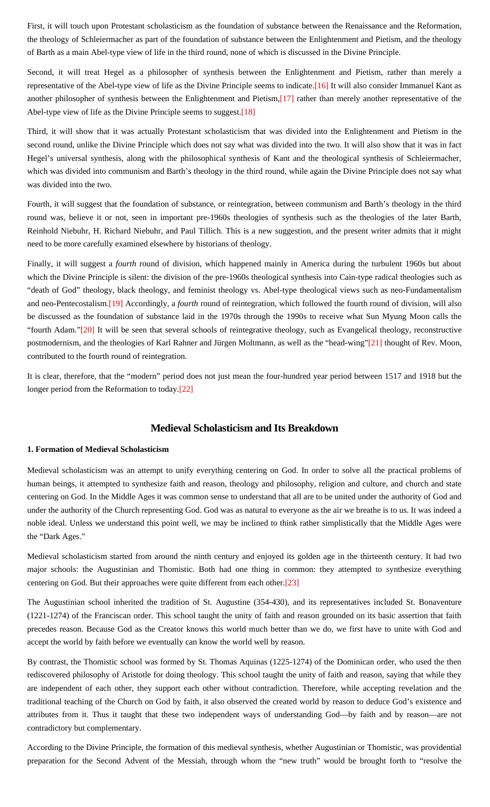First, it will touch upon Protestant scholasticism as the foundation of substance between the Renaissance and the Reformation, the theology of Schleiermacher as part of the foundation of substance between the Enlightenment and Pietism, and the theology of Barth as a main Abel-type view of life in the third round, none of which is discussed in the Divine Principle.

<span id="page-1-1"></span><span id="page-1-0"></span>Second, it will treat Hegel as a philosopher of synthesis between the Enlightenment and Pietism, rather than merely a representative of the Abel-type view of life as the Divine Principle seems to indicate.[\[16\]](#page-22-15) It will also consider Immanuel Kant as another philosopher of synthesis between the Enlightenment and Pietism[,\[17\]](#page-22-16) rather than merely another representative of the Abel-type view of life as the Divine Principle seems to suggest[.\[18\]](#page-22-17)

<span id="page-1-2"></span>Third, it will show that it was actually Protestant scholasticism that was divided into the Enlightenment and Pietism in the second round, unlike the Divine Principle which does not say what was divided into the two. It will also show that it was in fact Hegel's universal synthesis, along with the philosophical synthesis of Kant and the theological synthesis of Schleiermacher, which was divided into communism and Barth's theology in the third round, while again the Divine Principle does not say what was divided into the two.

Fourth, it will suggest that the foundation of substance, or reintegration, between communism and Barth's theology in the third round was, believe it or not, seen in important pre-1960s theologies of synthesis such as the theologies of the later Barth, Reinhold Niebuhr, H. Richard Niebuhr, and Paul Tillich. This is a new suggestion, and the present writer admits that it might need to be more carefully examined elsewhere by historians of theology.

<span id="page-1-3"></span>Finally, it will suggest a *fourth* round of division, which happened mainly in America during the turbulent 1960s but about which the Divine Principle is silent: the division of the pre-1960s theological synthesis into Cain-type radical theologies such as "death of God" theology, black theology, and feminist theology vs. Abel-type theological views such as neo-Fundamentalism and neo-Pentecostalism[.\[19\]](#page-22-18) Accordingly, a *fourth* round of reintegration, which followed the fourth round of division, will also be discussed as the foundation of substance laid in the 1970s through the 1990s to receive what Sun Myung Moon calls the "fourth Adam.["\[20\]](#page-23-0) It will be seen that several schools of reintegrative theology, such as Evangelical theology, reconstructive postmodernism, and the theologies of Karl Rahner and Jürgen Moltmann, as well as the "head-wing["\[21\]](#page-23-1) thought of Rev. Moon, contributed to the fourth round of reintegration.

<span id="page-1-6"></span><span id="page-1-5"></span><span id="page-1-4"></span>It is clear, therefore, that the "modern" period does not just mean the four-hundred year period between 1517 and 1918 but the longer period from the Reformation to today.[\[22\]](#page-23-2)

# **Medieval Scholasticism and Its Breakdown**

#### **1. Formation of Medieval Scholasticism**

Medieval scholasticism was an attempt to unify everything centering on God. In order to solve all the practical problems of human beings, it attempted to synthesize faith and reason, theology and philosophy, religion and culture, and church and state centering on God. In the Middle Ages it was common sense to understand that all are to be united under the authority of God and under the authority of the Church representing God. God was as natural to everyone as the air we breathe is to us. It was indeed a noble ideal. Unless we understand this point well, we may be inclined to think rather simplistically that the Middle Ages were the "Dark Ages."

Medieval scholasticism started from around the ninth century and enjoyed its golden age in the thirteenth century. It had two major schools: the Augustinian and Thomistic. Both had one thing in common: they attempted to synthesize everything centering on God. But their approaches were quite different from each other[.\[23\]](#page-23-3)

<span id="page-1-7"></span>The Augustinian school inherited the tradition of St. Augustine (354-430), and its representatives included St. Bonaventure (1221-1274) of the Franciscan order. This school taught the unity of faith and reason grounded on its basic assertion that faith precedes reason. Because God as the Creator knows this world much better than we do, we first have to unite with God and accept the world by faith before we eventually can know the world well by reason.

By contrast, the Thomistic school was formed by St. Thomas Aquinas (1225-1274) of the Dominican order, who used the then rediscovered philosophy of Aristotle for doing theology. This school taught the unity of faith and reason, saying that while they are independent of each other, they support each other without contradiction. Therefore, while accepting revelation and the traditional teaching of the Church on God by faith, it also observed the created world by reason to deduce God's existence and attributes from it. Thus it taught that these two independent ways of understanding God—by faith and by reason—are not contradictory but complementary.

According to the Divine Principle, the formation of this medieval synthesis, whether Augustinian or Thomistic, was providential preparation for the Second Advent of the Messiah, through whom the "new truth" would be brought forth to "resolve the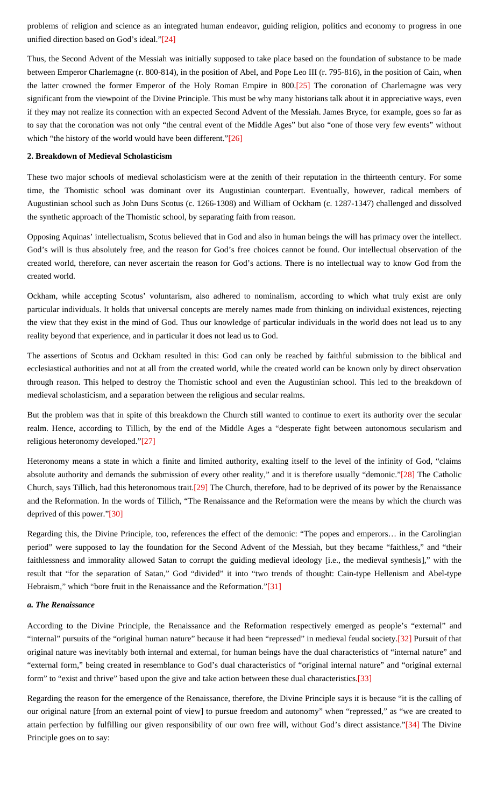<span id="page-2-0"></span>problems of religion and science as an integrated human endeavor, guiding religion, politics and economy to progress in one unified direction based on God's ideal.["\[24\]](#page-23-4)

<span id="page-2-1"></span>Thus, the Second Advent of the Messiah was initially supposed to take place based on the foundation of substance to be made between Emperor Charlemagne (r. 800-814), in the position of Abel, and Pope Leo III (r. 795-816), in the position of Cain, when the latter crowned the former Emperor of the Holy Roman Empire in 800[.\[25\]](#page-23-5) The coronation of Charlemagne was very significant from the viewpoint of the Divine Principle. This must be why many historians talk about it in appreciative ways, even if they may not realize its connection with an expected Second Advent of the Messiah. James Bryce, for example, goes so far as to say that the coronation was not only "the central event of the Middle Ages" but also "one of those very few events" without which "the history of the world would have been different.["\[26\]](#page-23-6)

#### <span id="page-2-2"></span>**2. Breakdown of Medieval Scholasticism**

These two major schools of medieval scholasticism were at the zenith of their reputation in the thirteenth century. For some time, the Thomistic school was dominant over its Augustinian counterpart. Eventually, however, radical members of Augustinian school such as John Duns Scotus (c. 1266-1308) and William of Ockham (c. 1287-1347) challenged and dissolved the synthetic approach of the Thomistic school, by separating faith from reason.

Opposing Aquinas' intellectualism, Scotus believed that in God and also in human beings the will has primacy over the intellect. God's will is thus absolutely free, and the reason for God's free choices cannot be found. Our intellectual observation of the created world, therefore, can never ascertain the reason for God's actions. There is no intellectual way to know God from the created world.

Ockham, while accepting Scotus' voluntarism, also adhered to nominalism, according to which what truly exist are only particular individuals. It holds that universal concepts are merely names made from thinking on individual existences, rejecting the view that they exist in the mind of God. Thus our knowledge of particular individuals in the world does not lead us to any reality beyond that experience, and in particular it does not lead us to God.

The assertions of Scotus and Ockham resulted in this: God can only be reached by faithful submission to the biblical and ecclesiastical authorities and not at all from the created world, while the created world can be known only by direct observation through reason. This helped to destroy the Thomistic school and even the Augustinian school. This led to the breakdown of medieval scholasticism, and a separation between the religious and secular realms.

But the problem was that in spite of this breakdown the Church still wanted to continue to exert its authority over the secular realm. Hence, according to Tillich, by the end of the Middle Ages a "desperate fight between autonomous secularism and religious heteronomy developed."[\[27\]](#page-23-7)

<span id="page-2-5"></span><span id="page-2-4"></span><span id="page-2-3"></span>Heteronomy means a state in which a finite and limited authority, exalting itself to the level of the infinity of God, "claims absolute authority and demands the submission of every other reality," and it is therefore usually "demonic."[\[28\]](#page-23-8) The Catholic Church, says Tillich, had this heteronomous trait[.\[29\]](#page-23-9) The Church, therefore, had to be deprived of its power by the Renaissance and the Reformation. In the words of Tillich, "The Renaissance and the Reformation were the means by which the church was deprived of this power.["\[30\]](#page-23-10)

<span id="page-2-6"></span>Regarding this, the Divine Principle, too, references the effect of the demonic: "The popes and emperors… in the Carolingian period" were supposed to lay the foundation for the Second Advent of the Messiah, but they became "faithless," and "their faithlessness and immorality allowed Satan to corrupt the guiding medieval ideology [i.e., the medieval synthesis]," with the result that "for the separation of Satan," God "divided" it into "two trends of thought: Cain-type Hellenism and Abel-type Hebraism," which "bore fruit in the Renaissance and the Reformation.["\[31\]](#page-23-11)

## <span id="page-2-7"></span>*a. The Renaissance*

<span id="page-2-8"></span>According to the Divine Principle, the Renaissance and the Reformation respectively emerged as people's "external" and "internal" pursuits of the "original human nature" because it had been "repressed" in medieval feudal society.[\[32\]](#page-23-12) Pursuit of that original nature was inevitably both internal and external, for human beings have the dual characteristics of "internal nature" and "external form," being created in resemblance to God's dual characteristics of "original internal nature" and "original external form" to "exist and thrive" based upon the give and take action between these dual characteristics.[\[33\]](#page-23-13)

<span id="page-2-10"></span><span id="page-2-9"></span>Regarding the reason for the emergence of the Renaissance, therefore, the Divine Principle says it is because "it is the calling of our original nature [from an external point of view] to pursue freedom and autonomy" when "repressed," as "we are created to attain perfection by fulfilling our given responsibility of our own free will, without God's direct assistance."[\[34\]](#page-23-14) The Divine Principle goes on to say: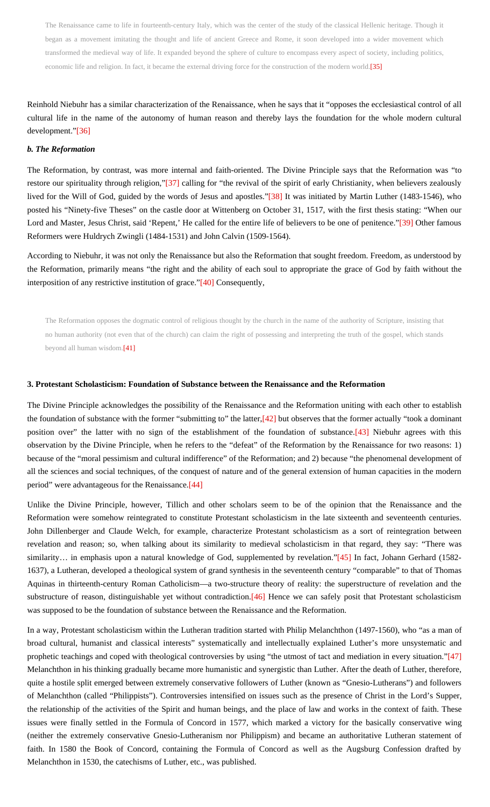The Renaissance came to life in fourteenth-century Italy, which was the center of the study of the classical Hellenic heritage. Though it began as a movement imitating the thought and life of ancient Greece and Rome, it soon developed into a wider movement which transformed the medieval way of life. It expanded beyond the sphere of culture to encompass every aspect of society, including politics, economic life and religion. In fact, it became the external driving force for the construction of the modern world[.\[35\]](#page-23-15)

<span id="page-3-0"></span>Reinhold Niebuhr has a similar characterization of the Renaissance, when he says that it "opposes the ecclesiastical control of all cultural life in the name of the autonomy of human reason and thereby lays the foundation for the whole modern cultural development."[\[36\]](#page-23-16)

#### <span id="page-3-1"></span>*b. The Reformation*

<span id="page-3-3"></span><span id="page-3-2"></span>The Reformation, by contrast, was more internal and faith-oriented. The Divine Principle says that the Reformation was "to restore our spirituality through religion,"[\[37\]](#page-23-17) calling for "the revival of the spirit of early Christianity, when believers zealously lived for the Will of God, guided by the words of Jesus and apostles.["\[38\]](#page-23-18) It was initiated by Martin Luther (1483-1546), who posted his "Ninety-five Theses" on the castle door at Wittenberg on October 31, 1517, with the first thesis stating: "When our Lord and Master, Jesus Christ, said 'Repent,' He called for the entire life of believers to be one of penitence.["\[39\]](#page-23-19) Other famous Reformers were Huldrych Zwingli (1484-1531) and John Calvin (1509-1564).

<span id="page-3-5"></span><span id="page-3-4"></span>According to Niebuhr, it was not only the Renaissance but also the Reformation that sought freedom. Freedom, as understood by the Reformation, primarily means "the right and the ability of each soul to appropriate the grace of God by faith without the interposition of any restrictive institution of grace.["\[40\]](#page-23-20) Consequently,

The Reformation opposes the dogmatic control of religious thought by the church in the name of the authority of Scripture, insisting that no human authority (not even that of the church) can claim the right of possessing and interpreting the truth of the gospel, which stands beyond all human wisdom[.\[41\]](#page-23-21)

## <span id="page-3-6"></span>**3. Protestant Scholasticism: Foundation of Substance between the Renaissance and the Reformation**

<span id="page-3-8"></span><span id="page-3-7"></span>The Divine Principle acknowledges the possibility of the Renaissance and the Reformation uniting with each other to establish the foundation of substance with the former "submitting to" the latter, $[42]$  but observes that the former actually "took a dominant position over" the latter with no sign of the establishment of the foundation of substance.<sup>[\[43\]](#page-23-23)</sup> Niebuhr agrees with this observation by the Divine Principle, when he refers to the "defeat" of the Reformation by the Renaissance for two reasons: 1) because of the "moral pessimism and cultural indifference" of the Reformation; and 2) because "the phenomenal development of all the sciences and social techniques, of the conquest of nature and of the general extension of human capacities in the modern period" were advantageous for the Renaissance[.\[44\]](#page-23-24)

<span id="page-3-10"></span><span id="page-3-9"></span>Unlike the Divine Principle, however, Tillich and other scholars seem to be of the opinion that the Renaissance and the Reformation were somehow reintegrated to constitute Protestant scholasticism in the late sixteenth and seventeenth centuries. John Dillenberger and Claude Welch, for example, characterize Protestant scholasticism as a sort of reintegration between revelation and reason; so, when talking about its similarity to medieval scholasticism in that regard, they say: "There was similarity... in emphasis upon a natural knowledge of God, supplemented by revelation.["\[45\]](#page-23-25) In fact, Johann Gerhard (1582-1637), a Lutheran, developed a theological system of grand synthesis in the seventeenth century "comparable" to that of Thomas Aquinas in thirteenth-century Roman Catholicism—a two-structure theory of reality: the superstructure of revelation and the substructure of reason, distinguishable yet without contradiction.[\[46\]](#page-23-26) Hence we can safely posit that Protestant scholasticism was supposed to be the foundation of substance between the Renaissance and the Reformation.

<span id="page-3-12"></span><span id="page-3-11"></span>In a way, Protestant scholasticism within the Lutheran tradition started with Philip Melanchthon (1497-1560), who "as a man of broad cultural, humanist and classical interests" systematically and intellectually explained Luther's more unsystematic and prophetic teachings and coped with theological controversies by using "the utmost of tact and mediation in every situation.["\[47\]](#page-23-27) Melanchthon in his thinking gradually became more humanistic and synergistic than Luther. After the death of Luther, therefore, quite a hostile split emerged between extremely conservative followers of Luther (known as "Gnesio-Lutherans") and followers of Melanchthon (called "Philippists"). Controversies intensified on issues such as the presence of Christ in the Lord's Supper, the relationship of the activities of the Spirit and human beings, and the place of law and works in the context of faith. These issues were finally settled in the Formula of Concord in 1577, which marked a victory for the basically conservative wing (neither the extremely conservative Gnesio-Lutheranism nor Philippism) and became an authoritative Lutheran statement of faith. In 1580 the Book of Concord, containing the Formula of Concord as well as the Augsburg Confession drafted by Melanchthon in 1530, the catechisms of Luther, etc., was published.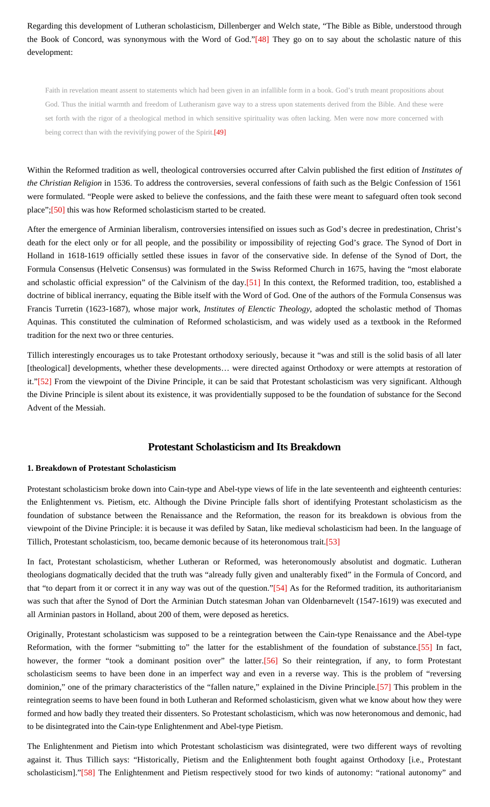<span id="page-4-0"></span>Regarding this development of Lutheran scholasticism, Dillenberger and Welch state, "The Bible as Bible, understood through the Book of Concord, was synonymous with the Word of God.["\[48\]](#page-23-28) They go on to say about the scholastic nature of this development:

Faith in revelation meant assent to statements which had been given in an infallible form in a book. God's truth meant propositions about God. Thus the initial warmth and freedom of Lutheranism gave way to a stress upon statements derived from the Bible. And these were set forth with the rigor of a theological method in which sensitive spirituality was often lacking. Men were now more concerned with being correct than with the revivifying power of the Spirit.<sup>[49]</sup>

<span id="page-4-1"></span>Within the Reformed tradition as well, theological controversies occurred after Calvin published the first edition of *Institutes of the Christian Religion* in 1536. To address the controversies, several confessions of faith such as the Belgic Confession of 1561 were formulated. "People were asked to believe the confessions, and the faith these were meant to safeguard often took second place"[;\[50\]](#page-23-30) this was how Reformed scholasticism started to be created.

<span id="page-4-3"></span><span id="page-4-2"></span>After the emergence of Arminian liberalism, controversies intensified on issues such as God's decree in predestination, Christ's death for the elect only or for all people, and the possibility or impossibility of rejecting God's grace. The Synod of Dort in Holland in 1618-1619 officially settled these issues in favor of the conservative side. In defense of the Synod of Dort, the Formula Consensus (Helvetic Consensus) was formulated in the Swiss Reformed Church in 1675, having the "most elaborate and scholastic official expression" of the Calvinism of the day.[\[51\]](#page-24-0) In this context, the Reformed tradition, too, established a doctrine of biblical inerrancy, equating the Bible itself with the Word of God. One of the authors of the Formula Consensus was Francis Turretin (1623-1687), whose major work, *Institutes of Elenctic Theology*, adopted the scholastic method of Thomas Aquinas. This constituted the culmination of Reformed scholasticism, and was widely used as a textbook in the Reformed tradition for the next two or three centuries.

<span id="page-4-4"></span>Tillich interestingly encourages us to take Protestant orthodoxy seriously, because it "was and still is the solid basis of all later [theological] developments, whether these developments… were directed against Orthodoxy or were attempts at restoration of it.["\[52\]](#page-24-1) From the viewpoint of the Divine Principle, it can be said that Protestant scholasticism was very significant. Although the Divine Principle is silent about its existence, it was providentially supposed to be the foundation of substance for the Second Advent of the Messiah.

# **Protestant Scholasticism and Its Breakdown**

### **1. Breakdown of Protestant Scholasticism**

Protestant scholasticism broke down into Cain-type and Abel-type views of life in the late seventeenth and eighteenth centuries: the Enlightenment vs. Pietism, etc. Although the Divine Principle falls short of identifying Protestant scholasticism as the foundation of substance between the Renaissance and the Reformation, the reason for its breakdown is obvious from the viewpoint of the Divine Principle: it is because it was defiled by Satan, like medieval scholasticism had been. In the language of Tillich, Protestant scholasticism, too, became demonic because of its heteronomous trait[.\[53\]](#page-24-2)

<span id="page-4-6"></span><span id="page-4-5"></span>In fact, Protestant scholasticism, whether Lutheran or Reformed, was heteronomously absolutist and dogmatic. Lutheran theologians dogmatically decided that the truth was "already fully given and unalterably fixed" in the Formula of Concord, and that "to depart from it or correct it in any way was out of the question." $[54]$  As for the Reformed tradition, its authoritarianism was such that after the Synod of Dort the Arminian Dutch statesman Johan van Oldenbarnevelt (1547-1619) was executed and all Arminian pastors in Holland, about 200 of them, were deposed as heretics.

<span id="page-4-9"></span><span id="page-4-8"></span><span id="page-4-7"></span>Originally, Protestant scholasticism was supposed to be a reintegration between the Cain-type Renaissance and the Abel-type Reformation, with the former "submitting to" the latter for the establishment of the foundation of substance[.\[55\]](#page-24-4) In fact, however, the former "took a dominant position over" the latter.[\[56\]](#page-24-5) So their reintegration, if any, to form Protestant scholasticism seems to have been done in an imperfect way and even in a reverse way. This is the problem of "reversing dominion," one of the primary characteristics of the "fallen nature," explained in the Divine Principle[.\[57\]](#page-24-6) This problem in the reintegration seems to have been found in both Lutheran and Reformed scholasticism, given what we know about how they were formed and how badly they treated their dissenters. So Protestant scholasticism, which was now heteronomous and demonic, had to be disintegrated into the Cain-type Enlightenment and Abel-type Pietism.

<span id="page-4-10"></span>The Enlightenment and Pietism into which Protestant scholasticism was disintegrated, were two different ways of revolting against it. Thus Tillich says: "Historically, Pietism and the Enlightenment both fought against Orthodoxy [i.e., Protestant scholasticism].["\[58\]](#page-24-7) The Enlightenment and Pietism respectively stood for two kinds of autonomy: "rational autonomy" and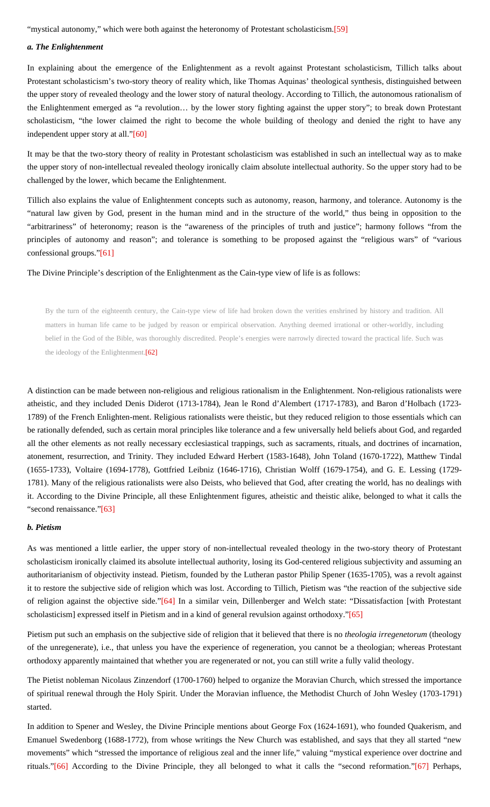<span id="page-5-0"></span>"mystical autonomy," which were both against the heteronomy of Protestant scholasticism[.\[59\]](#page-24-8)

#### *a. The Enlightenment*

In explaining about the emergence of the Enlightenment as a revolt against Protestant scholasticism, Tillich talks about Protestant scholasticism's two-story theory of reality which, like Thomas Aquinas' theological synthesis, distinguished between the upper story of revealed theology and the lower story of natural theology. According to Tillich, the autonomous rationalism of the Enlightenment emerged as "a revolution… by the lower story fighting against the upper story"; to break down Protestant scholasticism, "the lower claimed the right to become the whole building of theology and denied the right to have any independent upper story at all.["\[60\]](#page-24-9)

<span id="page-5-1"></span>It may be that the two-story theory of reality in Protestant scholasticism was established in such an intellectual way as to make the upper story of non-intellectual revealed theology ironically claim absolute intellectual authority. So the upper story had to be challenged by the lower, which became the Enlightenment.

Tillich also explains the value of Enlightenment concepts such as autonomy, reason, harmony, and tolerance. Autonomy is the "natural law given by God, present in the human mind and in the structure of the world," thus being in opposition to the "arbitrariness" of heteronomy; reason is the "awareness of the principles of truth and justice"; harmony follows "from the principles of autonomy and reason"; and tolerance is something to be proposed against the "religious wars" of "various confessional groups."[\[61\]](#page-24-10)

<span id="page-5-2"></span>The Divine Principle's description of the Enlightenment as the Cain-type view of life is as follows:

By the turn of the eighteenth century, the Cain-type view of life had broken down the verities enshrined by history and tradition. All matters in human life came to be judged by reason or empirical observation. Anything deemed irrational or other-worldly, including belief in the God of the Bible, was thoroughly discredited. People's energies were narrowly directed toward the practical life. Such was the ideology of the Enlightenment[.\[62\]](#page-24-11)

<span id="page-5-3"></span>A distinction can be made between non-religious and religious rationalism in the Enlightenment. Non-religious rationalists were atheistic, and they included Denis Diderot (1713-1784), Jean le Rond d'Alembert (1717-1783), and Baron d'Holbach (1723- 1789) of the French Enlighten-ment. Religious rationalists were theistic, but they reduced religion to those essentials which can be rationally defended, such as certain moral principles like tolerance and a few universally held beliefs about God, and regarded all the other elements as not really necessary ecclesiastical trappings, such as sacraments, rituals, and doctrines of incarnation, atonement, resurrection, and Trinity. They included Edward Herbert (1583-1648), John Toland (1670-1722), Matthew Tindal (1655-1733), Voltaire (1694-1778), Gottfried Leibniz (1646-1716), Christian Wolff (1679-1754), and G. E. Lessing (1729- 1781). Many of the religious rationalists were also Deists, who believed that God, after creating the world, has no dealings with it. According to the Divine Principle, all these Enlightenment figures, atheistic and theistic alike, belonged to what it calls the "second renaissance.["\[63\]](#page-24-12)

#### <span id="page-5-4"></span>*b. Pietism*

As was mentioned a little earlier, the upper story of non-intellectual revealed theology in the two-story theory of Protestant scholasticism ironically claimed its absolute intellectual authority, losing its God-centered religious subjectivity and assuming an authoritarianism of objectivity instead. Pietism, founded by the Lutheran pastor Philip Spener (1635-1705), was a revolt against it to restore the subjective side of religion which was lost. According to Tillich, Pietism was "the reaction of the subjective side of religion against the objective side.["\[64\]](#page-24-13) In a similar vein, Dillenberger and Welch state: "Dissatisfaction [with Protestant scholasticism] expressed itself in Pietism and in a kind of general revulsion against orthodoxy.["\[65\]](#page-24-14)

<span id="page-5-6"></span><span id="page-5-5"></span>Pietism put such an emphasis on the subjective side of religion that it believed that there is no *theologia irregenetorum* (theology of the unregenerate), i.e., that unless you have the experience of regeneration, you cannot be a theologian; whereas Protestant orthodoxy apparently maintained that whether you are regenerated or not, you can still write a fully valid theology.

The Pietist nobleman Nicolaus Zinzendorf (1700-1760) helped to organize the Moravian Church, which stressed the importance of spiritual renewal through the Holy Spirit. Under the Moravian influence, the Methodist Church of John Wesley (1703-1791) started.

<span id="page-5-7"></span>In addition to Spener and Wesley, the Divine Principle mentions about George Fox (1624-1691), who founded Quakerism, and Emanuel Swedenborg (1688-1772), from whose writings the New Church was established, and says that they all started "new movements" which "stressed the importance of religious zeal and the inner life," valuing "mystical experience over doctrine and rituals.["\[66\]](#page-24-15) According to the Divine Principle, they all belonged to what it calls the "second reformation.["\[67\]](#page-24-16) Perhaps,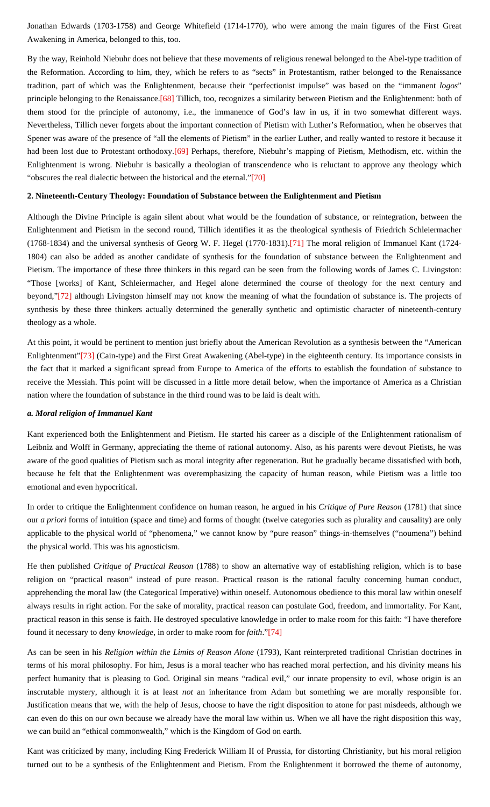Jonathan Edwards (1703-1758) and George Whitefield (1714-1770), who were among the main figures of the First Great Awakening in America, belonged to this, too.

<span id="page-6-0"></span>By the way, Reinhold Niebuhr does not believe that these movements of religious renewal belonged to the Abel-type tradition of the Reformation. According to him, they, which he refers to as "sects" in Protestantism, rather belonged to the Renaissance tradition, part of which was the Enlightenment, because their "perfectionist impulse" was based on the "immanent *logos*" principle belonging to the Renaissance[.\[68\]](#page-24-17) Tillich, too, recognizes a similarity between Pietism and the Enlightenment: both of them stood for the principle of autonomy, i.e., the immanence of God's law in us, if in two somewhat different ways. Nevertheless, Tillich never forgets about the important connection of Pietism with Luther's Reformation, when he observes that Spener was aware of the presence of "all the elements of Pietism" in the earlier Luther, and really wanted to restore it because it had been lost due to Protestant orthodoxy.[\[69\]](#page-24-18) Perhaps, therefore, Niebuhr's mapping of Pietism, Methodism, etc. within the Enlightenment is wrong. Niebuhr is basically a theologian of transcendence who is reluctant to approve any theology which "obscures the real dialectic between the historical and the eternal."[\[70\]](#page-24-19)

#### <span id="page-6-2"></span><span id="page-6-1"></span>**2. Nineteenth-Century Theology: Foundation of Substance between the Enlightenment and Pietism**

<span id="page-6-3"></span>Although the Divine Principle is again silent about what would be the foundation of substance, or reintegration, between the Enlightenment and Pietism in the second round, Tillich identifies it as the theological synthesis of Friedrich Schleiermacher (1768-1834) and the universal synthesis of Georg W. F. Hegel (1770-1831)[.\[71\]](#page-24-20) The moral religion of Immanuel Kant (1724- 1804) can also be added as another candidate of synthesis for the foundation of substance between the Enlightenment and Pietism. The importance of these three thinkers in this regard can be seen from the following words of James C. Livingston: "Those [works] of Kant, Schleiermacher, and Hegel alone determined the course of theology for the next century and beyond,["\[72\]](#page-24-21) although Livingston himself may not know the meaning of what the foundation of substance is. The projects of synthesis by these three thinkers actually determined the generally synthetic and optimistic character of nineteenth-century theology as a whole.

<span id="page-6-5"></span><span id="page-6-4"></span>At this point, it would be pertinent to mention just briefly about the American Revolution as a synthesis between the "American Enlightenment["\[73\]](#page-24-22) (Cain-type) and the First Great Awakening (Abel-type) in the eighteenth century. Its importance consists in the fact that it marked a significant spread from Europe to America of the efforts to establish the foundation of substance to receive the Messiah. This point will be discussed in a little more detail below, when the importance of America as a Christian nation where the foundation of substance in the third round was to be laid is dealt with.

#### *a. Moral religion of Immanuel Kant*

Kant experienced both the Enlightenment and Pietism. He started his career as a disciple of the Enlightenment rationalism of Leibniz and Wolff in Germany, appreciating the theme of rational autonomy. Also, as his parents were devout Pietists, he was aware of the good qualities of Pietism such as moral integrity after regeneration. But he gradually became dissatisfied with both, because he felt that the Enlightenment was overemphasizing the capacity of human reason, while Pietism was a little too emotional and even hypocritical.

In order to critique the Enlightenment confidence on human reason, he argued in his *Critique of Pure Reason* (1781) that since our *a priori* forms of intuition (space and time) and forms of thought (twelve categories such as plurality and causality) are only applicable to the physical world of "phenomena," we cannot know by "pure reason" things-in-themselves ("noumena") behind the physical world. This was his agnosticism.

He then published *Critique of Practical Reason* (1788) to show an alternative way of establishing religion, which is to base religion on "practical reason" instead of pure reason. Practical reason is the rational faculty concerning human conduct, apprehending the moral law (the Categorical Imperative) within oneself. Autonomous obedience to this moral law within oneself always results in right action. For the sake of morality, practical reason can postulate God, freedom, and immortality. For Kant, practical reason in this sense is faith. He destroyed speculative knowledge in order to make room for this faith: "I have therefore found it necessary to deny *knowledge*, in order to make room for *faith*."[\[74\]](#page-24-23)

<span id="page-6-6"></span>As can be seen in his *Religion within the Limits of Reason Alone* (1793), Kant reinterpreted traditional Christian doctrines in terms of his moral philosophy. For him, Jesus is a moral teacher who has reached moral perfection, and his divinity means his perfect humanity that is pleasing to God. Original sin means "radical evil," our innate propensity to evil, whose origin is an inscrutable mystery, although it is at least *not* an inheritance from Adam but something we are morally responsible for. Justification means that we, with the help of Jesus, choose to have the right disposition to atone for past misdeeds, although we can even do this on our own because we already have the moral law within us. When we all have the right disposition this way, we can build an "ethical commonwealth," which is the Kingdom of God on earth.

Kant was criticized by many, including King Frederick William II of Prussia, for distorting Christianity, but his moral religion turned out to be a synthesis of the Enlightenment and Pietism. From the Enlightenment it borrowed the theme of autonomy,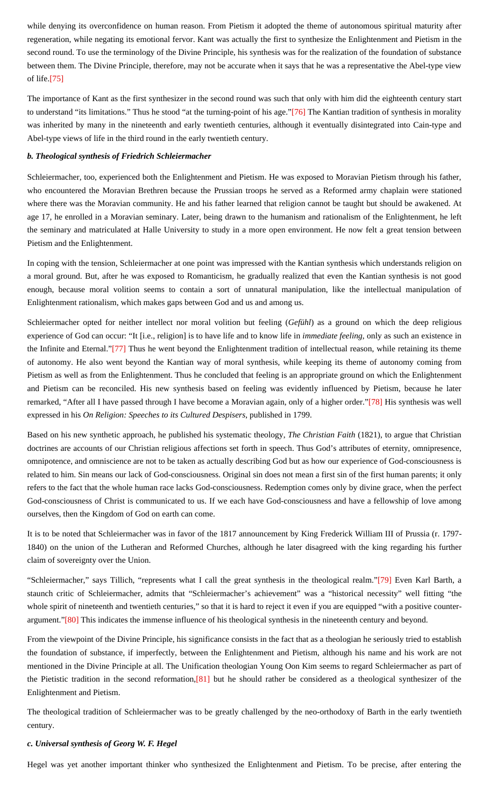while denying its overconfidence on human reason. From Pietism it adopted the theme of autonomous spiritual maturity after regeneration, while negating its emotional fervor. Kant was actually the first to synthesize the Enlightenment and Pietism in the second round. To use the terminology of the Divine Principle, his synthesis was for the realization of the foundation of substance between them. The Divine Principle, therefore, may not be accurate when it says that he was a representative the Abel-type view of life.[\[75\]](#page-24-24)

<span id="page-7-1"></span><span id="page-7-0"></span>The importance of Kant as the first synthesizer in the second round was such that only with him did the eighteenth century start to understand "its limitations." Thus he stood "at the turning-point of his age.["\[76\]](#page-24-25) The Kantian tradition of synthesis in morality was inherited by many in the nineteenth and early twentieth centuries, although it eventually disintegrated into Cain-type and Abel-type views of life in the third round in the early twentieth century.

#### *b. Theological synthesis of Friedrich Schleiermacher*

Schleiermacher, too, experienced both the Enlightenment and Pietism. He was exposed to Moravian Pietism through his father, who encountered the Moravian Brethren because the Prussian troops he served as a Reformed army chaplain were stationed where there was the Moravian community. He and his father learned that religion cannot be taught but should be awakened. At age 17, he enrolled in a Moravian seminary. Later, being drawn to the humanism and rationalism of the Enlightenment, he left the seminary and matriculated at Halle University to study in a more open environment. He now felt a great tension between Pietism and the Enlightenment.

In coping with the tension, Schleiermacher at one point was impressed with the Kantian synthesis which understands religion on a moral ground. But, after he was exposed to Romanticism, he gradually realized that even the Kantian synthesis is not good enough, because moral volition seems to contain a sort of unnatural manipulation, like the intellectual manipulation of Enlightenment rationalism, which makes gaps between God and us and among us.

<span id="page-7-2"></span>Schleiermacher opted for neither intellect nor moral volition but feeling (*Gefühl*) as a ground on which the deep religious experience of God can occur: "It [i.e., religion] is to have life and to know life in *immediate feeling*, only as such an existence in the Infinite and Eternal."[\[77\]](#page-24-26) Thus he went beyond the Enlightenment tradition of intellectual reason, while retaining its theme of autonomy. He also went beyond the Kantian way of moral synthesis, while keeping its theme of autonomy coming from Pietism as well as from the Enlightenment. Thus he concluded that feeling is an appropriate ground on which the Enlightenment and Pietism can be reconciled. His new synthesis based on feeling was evidently influenced by Pietism, because he later remarked, "After all I have passed through I have become a Moravian again, only of a higher order.["\[78\]](#page-24-27) His synthesis was well expressed in his *On Religion: Speeches to its Cultured Despisers*, published in 1799.

<span id="page-7-3"></span>Based on his new synthetic approach, he published his systematic theology, *The Christian Faith* (1821), to argue that Christian doctrines are accounts of our Christian religious affections set forth in speech. Thus God's attributes of eternity, omnipresence, omnipotence, and omniscience are not to be taken as actually describing God but as how our experience of God-consciousness is related to him. Sin means our lack of God-consciousness. Original sin does not mean a first sin of the first human parents; it only refers to the fact that the whole human race lacks God-consciousness. Redemption comes only by divine grace, when the perfect God-consciousness of Christ is communicated to us. If we each have God-consciousness and have a fellowship of love among ourselves, then the Kingdom of God on earth can come.

It is to be noted that Schleiermacher was in favor of the 1817 announcement by King Frederick William III of Prussia (r. 1797- 1840) on the union of the Lutheran and Reformed Churches, although he later disagreed with the king regarding his further claim of sovereignty over the Union.

<span id="page-7-4"></span>"Schleiermacher," says Tillich, "represents what I call the great synthesis in the theological realm.["\[79\]](#page-24-28) Even Karl Barth, a staunch critic of Schleiermacher, admits that "Schleiermacher's achievement" was a "historical necessity" well fitting "the whole spirit of nineteenth and twentieth centuries," so that it is hard to reject it even if you are equipped "with a positive counter-argument."[\[80\]](#page-24-29) This indicates the immense influence of his theological synthesis in the nineteenth century and beyond.

<span id="page-7-5"></span>From the viewpoint of the Divine Principle, his significance consists in the fact that as a theologian he seriously tried to establish the foundation of substance, if imperfectly, between the Enlightenment and Pietism, although his name and his work are not mentioned in the Divine Principle at all. The Unification theologian Young Oon Kim seems to regard Schleiermacher as part of the Pietistic tradition in the second reformation,[\[81\]](#page-24-30) but he should rather be considered as a theological synthesizer of the Enlightenment and Pietism.

<span id="page-7-6"></span>The theological tradition of Schleiermacher was to be greatly challenged by the neo-orthodoxy of Barth in the early twentieth century.

# *c. Universal synthesis of Georg W. F. Hegel*

Hegel was yet another important thinker who synthesized the Enlightenment and Pietism. To be precise, after entering the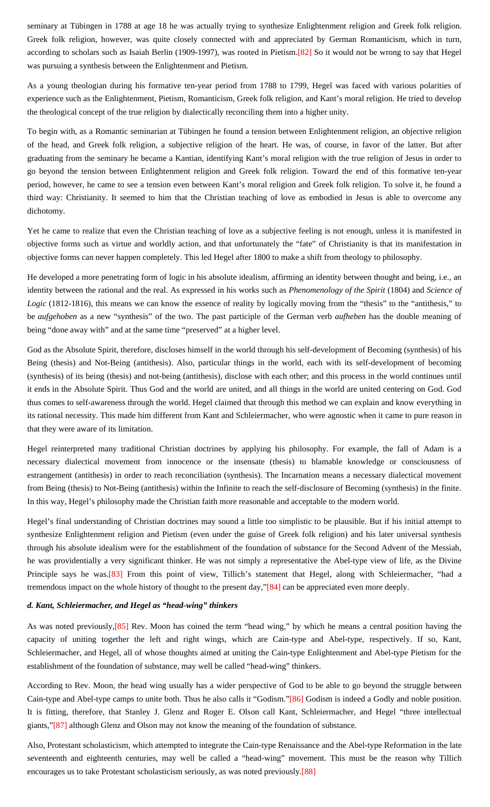<span id="page-8-0"></span>seminary at Tübingen in 1788 at age 18 he was actually trying to synthesize Enlightenment religion and Greek folk religion. Greek folk religion, however, was quite closely connected with and appreciated by German Romanticism, which in turn, according to scholars such as Isaiah Berlin (1909-1997), was rooted in Pietism.[\[82\]](#page-24-31) So it would not be wrong to say that Hegel was pursuing a synthesis between the Enlightenment and Pietism.

As a young theologian during his formative ten-year period from 1788 to 1799, Hegel was faced with various polarities of experience such as the Enlightenment, Pietism, Romanticism, Greek folk religion, and Kant's moral religion. He tried to develop the theological concept of the true religion by dialectically reconciling them into a higher unity.

To begin with, as a Romantic seminarian at Tübingen he found a tension between Enlightenment religion, an objective religion of the head, and Greek folk religion, a subjective religion of the heart. He was, of course, in favor of the latter. But after graduating from the seminary he became a Kantian, identifying Kant's moral religion with the true religion of Jesus in order to go beyond the tension between Enlightenment religion and Greek folk religion. Toward the end of this formative ten-year period, however, he came to see a tension even between Kant's moral religion and Greek folk religion. To solve it, he found a third way: Christianity. It seemed to him that the Christian teaching of love as embodied in Jesus is able to overcome any dichotomy.

Yet he came to realize that even the Christian teaching of love as a subjective feeling is not enough, unless it is manifested in objective forms such as virtue and worldly action, and that unfortunately the "fate" of Christianity is that its manifestation in objective forms can never happen completely. This led Hegel after 1800 to make a shift from theology to philosophy.

He developed a more penetrating form of logic in his absolute idealism, affirming an identity between thought and being, i.e., an identity between the rational and the real. As expressed in his works such as *Phenomenology of the Spirit* (1804) and *Science of Logic* (1812-1816), this means we can know the essence of reality by logically moving from the "thesis" to the "antithesis," to be *aufgehoben* as a new "synthesis" of the two. The past participle of the German verb *aufheben* has the double meaning of being "done away with" and at the same time "preserved" at a higher level.

God as the Absolute Spirit, therefore, discloses himself in the world through his self-development of Becoming (synthesis) of his Being (thesis) and Not-Being (antithesis). Also, particular things in the world, each with its self-development of becoming (synthesis) of its being (thesis) and not-being (antithesis), disclose with each other; and this process in the world continues until it ends in the Absolute Spirit. Thus God and the world are united, and all things in the world are united centering on God. God thus comes to self-awareness through the world. Hegel claimed that through this method we can explain and know everything in its rational necessity. This made him different from Kant and Schleiermacher, who were agnostic when it came to pure reason in that they were aware of its limitation.

Hegel reinterpreted many traditional Christian doctrines by applying his philosophy. For example, the fall of Adam is a necessary dialectical movement from innocence or the insensate (thesis) to blamable knowledge or consciousness of estrangement (antithesis) in order to reach reconciliation (synthesis). The Incarnation means a necessary dialectical movement from Being (thesis) to Not-Being (antithesis) within the Infinite to reach the self-disclosure of Becoming (synthesis) in the finite. In this way, Hegel's philosophy made the Christian faith more reasonable and acceptable to the modern world.

Hegel's final understanding of Christian doctrines may sound a little too simplistic to be plausible. But if his initial attempt to synthesize Enlightenment religion and Pietism (even under the guise of Greek folk religion) and his later universal synthesis through his absolute idealism were for the establishment of the foundation of substance for the Second Advent of the Messiah, he was providentially a very significant thinker. He was not simply a representative the Abel-type view of life, as the Divine Principle says he was[.\[83\]](#page-24-32) From this point of view, Tillich's statement that Hegel, along with Schleiermacher, "had a tremendous impact on the whole history of thought to the present day,["\[84\]](#page-25-0) can be appreciated even more deeply.

## <span id="page-8-2"></span><span id="page-8-1"></span>*d. Kant, Schleiermacher, and Hegel as "head-wing" thinkers*

<span id="page-8-3"></span>As was noted previously[,\[85\]](#page-25-1) Rev. Moon has coined the term "head wing," by which he means a central position having the capacity of uniting together the left and right wings, which are Cain-type and Abel-type, respectively. If so, Kant, Schleiermacher, and Hegel, all of whose thoughts aimed at uniting the Cain-type Enlightenment and Abel-type Pietism for the establishment of the foundation of substance, may well be called "head-wing" thinkers.

<span id="page-8-4"></span>According to Rev. Moon, the head wing usually has a wider perspective of God to be able to go beyond the struggle between Cain-type and Abel-type camps to unite both. Thus he also calls it "Godism.["\[86\]](#page-25-2) Godism is indeed a Godly and noble position. It is fitting, therefore, that Stanley J. Glenz and Roger E. Olson call Kant, Schleiermacher, and Hegel "three intellectual giants,["\[87\]](#page-25-3) although Glenz and Olson may not know the meaning of the foundation of substance.

<span id="page-8-6"></span><span id="page-8-5"></span>Also, Protestant scholasticism, which attempted to integrate the Cain-type Renaissance and the Abel-type Reformation in the late seventeenth and eighteenth centuries, may well be called a "head-wing" movement. This must be the reason why Tillich encourages us to take Protestant scholasticism seriously, as was noted previously.[\[88\]](#page-25-4)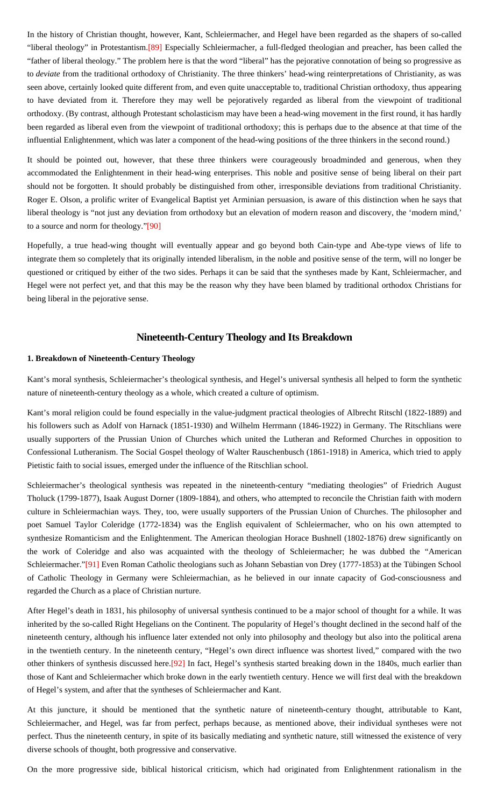<span id="page-9-0"></span>In the history of Christian thought, however, Kant, Schleiermacher, and Hegel have been regarded as the shapers of so-called "liberal theology" in Protestantism.[\[89\]](#page-25-5) Especially Schleiermacher, a full-fledged theologian and preacher, has been called the "father of liberal theology." The problem here is that the word "liberal" has the pejorative connotation of being so progressive as to *deviate* from the traditional orthodoxy of Christianity. The three thinkers' head-wing reinterpretations of Christianity, as was seen above, certainly looked quite different from, and even quite unacceptable to, traditional Christian orthodoxy, thus appearing to have deviated from it. Therefore they may well be pejoratively regarded as liberal from the viewpoint of traditional orthodoxy. (By contrast, although Protestant scholasticism may have been a head-wing movement in the first round, it has hardly been regarded as liberal even from the viewpoint of traditional orthodoxy; this is perhaps due to the absence at that time of the influential Enlightenment, which was later a component of the head-wing positions of the three thinkers in the second round.)

It should be pointed out, however, that these three thinkers were courageously broadminded and generous, when they accommodated the Enlightenment in their head-wing enterprises. This noble and positive sense of being liberal on their part should not be forgotten. It should probably be distinguished from other, irresponsible deviations from traditional Christianity. Roger E. Olson, a prolific writer of Evangelical Baptist yet Arminian persuasion, is aware of this distinction when he says that liberal theology is "not just any deviation from orthodoxy but an elevation of modern reason and discovery, the 'modern mind,' to a source and norm for theology.["\[90\]](#page-25-6)

<span id="page-9-1"></span>Hopefully, a true head-wing thought will eventually appear and go beyond both Cain-type and Abe-type views of life to integrate them so completely that its originally intended liberalism, in the noble and positive sense of the term, will no longer be questioned or critiqued by either of the two sides. Perhaps it can be said that the syntheses made by Kant, Schleiermacher, and Hegel were not perfect yet, and that this may be the reason why they have been blamed by traditional orthodox Christians for being liberal in the pejorative sense.

# **Nineteenth-Century Theology and Its Breakdown**

#### **1. Breakdown of Nineteenth-Century Theology**

Kant's moral synthesis, Schleiermacher's theological synthesis, and Hegel's universal synthesis all helped to form the synthetic nature of nineteenth-century theology as a whole, which created a culture of optimism.

Kant's moral religion could be found especially in the value-judgment practical theologies of Albrecht Ritschl (1822-1889) and his followers such as Adolf von Harnack (1851-1930) and Wilhelm Herrmann (1846-1922) in Germany. The Ritschlians were usually supporters of the Prussian Union of Churches which united the Lutheran and Reformed Churches in opposition to Confessional Lutheranism. The Social Gospel theology of Walter Rauschenbusch (1861-1918) in America, which tried to apply Pietistic faith to social issues, emerged under the influence of the Ritschlian school.

Schleiermacher's theological synthesis was repeated in the nineteenth-century "mediating theologies" of Friedrich August Tholuck (1799-1877), Isaak August Dorner (1809-1884), and others, who attempted to reconcile the Christian faith with modern culture in Schleiermachian ways. They, too, were usually supporters of the Prussian Union of Churches. The philosopher and poet Samuel Taylor Coleridge (1772-1834) was the English equivalent of Schleiermacher, who on his own attempted to synthesize Romanticism and the Enlightenment. The American theologian Horace Bushnell (1802-1876) drew significantly on the work of Coleridge and also was acquainted with the theology of Schleiermacher; he was dubbed the "American Schleiermacher.["\[91\]](#page-25-7) Even Roman Catholic theologians such as Johann Sebastian von Drey (1777-1853) at the Tübingen School of Catholic Theology in Germany were Schleiermachian, as he believed in our innate capacity of God-consciousness and regarded the Church as a place of Christian nurture.

<span id="page-9-2"></span>After Hegel's death in 1831, his philosophy of universal synthesis continued to be a major school of thought for a while. It was inherited by the so-called Right Hegelians on the Continent. The popularity of Hegel's thought declined in the second half of the nineteenth century, although his influence later extended not only into philosophy and theology but also into the political arena in the twentieth century. In the nineteenth century, "Hegel's own direct influence was shortest lived," compared with the two other thinkers of synthesis discussed here[.\[92\]](#page-25-8) In fact, Hegel's synthesis started breaking down in the 1840s, much earlier than those of Kant and Schleiermacher which broke down in the early twentieth century. Hence we will first deal with the breakdown of Hegel's system, and after that the syntheses of Schleiermacher and Kant.

<span id="page-9-3"></span>At this juncture, it should be mentioned that the synthetic nature of nineteenth-century thought, attributable to Kant, Schleiermacher, and Hegel, was far from perfect, perhaps because, as mentioned above, their individual syntheses were not perfect. Thus the nineteenth century, in spite of its basically mediating and synthetic nature, still witnessed the existence of very diverse schools of thought, both progressive and conservative.

On the more progressive side, biblical historical criticism, which had originated from Enlightenment rationalism in the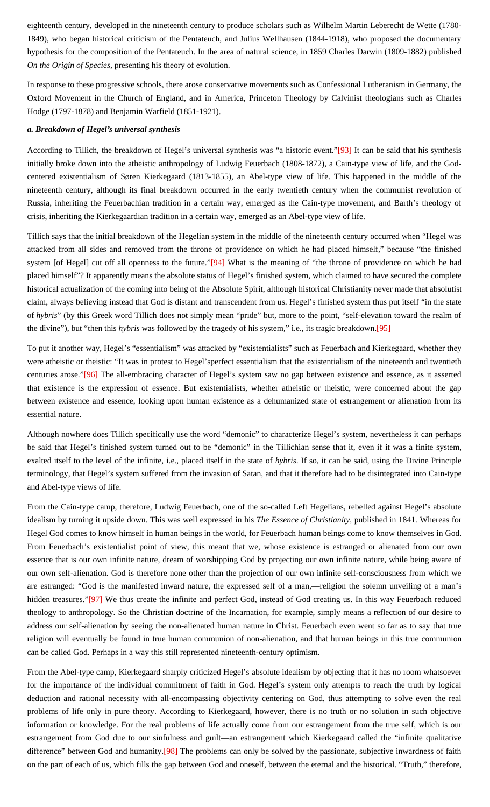eighteenth century, developed in the nineteenth century to produce scholars such as Wilhelm Martin Leberecht de Wette (1780- 1849), who began historical criticism of the Pentateuch, and Julius Wellhausen (1844-1918), who proposed the documentary hypothesis for the composition of the Pentateuch. In the area of natural science, in 1859 Charles Darwin (1809-1882) published *On the Origin of Species*, presenting his theory of evolution.

In response to these progressive schools, there arose conservative movements such as Confessional Lutheranism in Germany, the Oxford Movement in the Church of England, and in America, Princeton Theology by Calvinist theologians such as Charles Hodge (1797-1878) and Benjamin Warfield (1851-1921).

#### *a. Breakdown of Hegel's universal synthesis*

<span id="page-10-0"></span>According to Tillich, the breakdown of Hegel's universal synthesis was "a historic event."[\[93\]](#page-25-9) It can be said that his synthesis initially broke down into the atheistic anthropology of Ludwig Feuerbach (1808-1872), a Cain-type view of life, and the Godcentered existentialism of Søren Kierkegaard (1813-1855), an Abel-type view of life. This happened in the middle of the nineteenth century, although its final breakdown occurred in the early twentieth century when the communist revolution of Russia, inheriting the Feuerbachian tradition in a certain way, emerged as the Cain-type movement, and Barth's theology of crisis, inheriting the Kierkegaardian tradition in a certain way, emerged as an Abel-type view of life.

<span id="page-10-1"></span>Tillich says that the initial breakdown of the Hegelian system in the middle of the nineteenth century occurred when "Hegel was attacked from all sides and removed from the throne of providence on which he had placed himself," because "the finished system [of Hegel] cut off all openness to the future.["\[94\]](#page-25-10) What is the meaning of "the throne of providence on which he had placed himself"? It apparently means the absolute status of Hegel's finished system, which claimed to have secured the complete historical actualization of the coming into being of the Absolute Spirit, although historical Christianity never made that absolutist claim, always believing instead that God is distant and transcendent from us. Hegel's finished system thus put itself "in the state of *hybris*" (by this Greek word Tillich does not simply mean "pride" but, more to the point, "self-elevation toward the realm of the divine"), but "then this *hybris* was followed by the tragedy of his system," i.e., its tragic breakdown.[\[95\]](#page-25-11)

<span id="page-10-3"></span><span id="page-10-2"></span>To put it another way, Hegel's "essentialism" was attacked by "existentialists" such as Feuerbach and Kierkegaard, whether they were atheistic or theistic: "It was in protest to Hegel'sperfect essentialism that the existentialism of the nineteenth and twentieth centuries arose."[\[96\]](#page-25-12) The all-embracing character of Hegel's system saw no gap between existence and essence, as it asserted that existence is the expression of essence. But existentialists, whether atheistic or theistic, were concerned about the gap between existence and essence, looking upon human existence as a dehumanized state of estrangement or alienation from its essential nature.

Although nowhere does Tillich specifically use the word "demonic" to characterize Hegel's system, nevertheless it can perhaps be said that Hegel's finished system turned out to be "demonic" in the Tillichian sense that it, even if it was a finite system, exalted itself to the level of the infinite, i.e., placed itself in the state of *hybris*. If so, it can be said, using the Divine Principle terminology, that Hegel's system suffered from the invasion of Satan, and that it therefore had to be disintegrated into Cain-type and Abel-type views of life.

From the Cain-type camp, therefore, Ludwig Feuerbach, one of the so-called Left Hegelians, rebelled against Hegel's absolute idealism by turning it upside down. This was well expressed in his *The Essence of Christianity*, published in 1841. Whereas for Hegel God comes to know himself in human beings in the world, for Feuerbach human beings come to know themselves in God. From Feuerbach's existentialist point of view, this meant that we, whose existence is estranged or alienated from our own essence that is our own infinite nature, dream of worshipping God by projecting our own infinite nature, while being aware of our own self-alienation. God is therefore none other than the projection of our own infinite self-consciousness from which we are estranged: "God is the manifested inward nature, the expressed self of a man,—religion the solemn unveiling of a man's hidden treasures."[\[97\]](#page-25-13) We thus create the infinite and perfect God, instead of God creating us. In this way Feuerbach reduced theology to anthropology. So the Christian doctrine of the Incarnation, for example, simply means a reflection of our desire to address our self-alienation by seeing the non-alienated human nature in Christ. Feuerbach even went so far as to say that true religion will eventually be found in true human communion of non-alienation, and that human beings in this true communion can be called God. Perhaps in a way this still represented nineteenth-century optimism.

<span id="page-10-5"></span><span id="page-10-4"></span>From the Abel-type camp, Kierkegaard sharply criticized Hegel's absolute idealism by objecting that it has no room whatsoever for the importance of the individual commitment of faith in God. Hegel's system only attempts to reach the truth by logical deduction and rational necessity with all-encompassing objectivity centering on God, thus attempting to solve even the real problems of life only in pure theory. According to Kierkegaard, however, there is no truth or no solution in such objective information or knowledge. For the real problems of life actually come from our estrangement from the true self, which is our estrangement from God due to our sinfulness and guilt—an estrangement which Kierkegaard called the "infinite qualitative difference" between God and humanity.<sup>[98]</sup> The problems can only be solved by the passionate, subjective inwardness of faith on the part of each of us, which fills the gap between God and oneself, between the eternal and the historical. "Truth," therefore,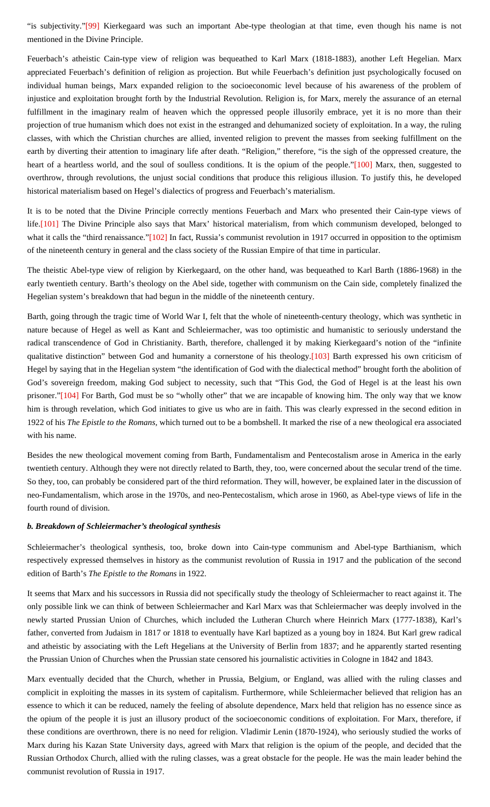<span id="page-11-0"></span>"is subjectivity."[\[99\]](#page-25-15) Kierkegaard was such an important Abe-type theologian at that time, even though his name is not mentioned in the Divine Principle.

Feuerbach's atheistic Cain-type view of religion was bequeathed to Karl Marx (1818-1883), another Left Hegelian. Marx appreciated Feuerbach's definition of religion as projection. But while Feuerbach's definition just psychologically focused on individual human beings, Marx expanded religion to the socioeconomic level because of his awareness of the problem of injustice and exploitation brought forth by the Industrial Revolution. Religion is, for Marx, merely the assurance of an eternal fulfillment in the imaginary realm of heaven which the oppressed people illusorily embrace, yet it is no more than their projection of true humanism which does not exist in the estranged and dehumanized society of exploitation. In a way, the ruling classes, with which the Christian churches are allied, invented religion to prevent the masses from seeking fulfillment on the earth by diverting their attention to imaginary life after death. "Religion," therefore, "is the sigh of the oppressed creature, the heart of a heartless world, and the soul of soulless conditions. It is the opium of the people.["\[100\]](#page-25-16) Marx, then, suggested to overthrow, through revolutions, the unjust social conditions that produce this religious illusion. To justify this, he developed historical materialism based on Hegel's dialectics of progress and Feuerbach's materialism.

<span id="page-11-3"></span><span id="page-11-2"></span><span id="page-11-1"></span>It is to be noted that the Divine Principle correctly mentions Feuerbach and Marx who presented their Cain-type views of life.[\[101\]](#page-25-17) The Divine Principle also says that Marx' historical materialism, from which communism developed, belonged to what it calls the "third renaissance.["\[102\]](#page-25-18) In fact, Russia's communist revolution in 1917 occurred in opposition to the optimism of the nineteenth century in general and the class society of the Russian Empire of that time in particular.

The theistic Abel-type view of religion by Kierkegaard, on the other hand, was bequeathed to Karl Barth (1886-1968) in the early twentieth century. Barth's theology on the Abel side, together with communism on the Cain side, completely finalized the Hegelian system's breakdown that had begun in the middle of the nineteenth century.

<span id="page-11-4"></span>Barth, going through the tragic time of World War I, felt that the whole of nineteenth-century theology, which was synthetic in nature because of Hegel as well as Kant and Schleiermacher, was too optimistic and humanistic to seriously understand the radical transcendence of God in Christianity. Barth, therefore, challenged it by making Kierkegaard's notion of the "infinite qualitative distinction" between God and humanity a cornerstone of his theology.[\[103\]](#page-25-19) Barth expressed his own criticism of Hegel by saying that in the Hegelian system "the identification of God with the dialectical method" brought forth the abolition of God's sovereign freedom, making God subject to necessity, such that "This God, the God of Hegel is at the least his own prisoner.["\[104\]](#page-25-20) For Barth, God must be so "wholly other" that we are incapable of knowing him. The only way that we know him is through revelation, which God initiates to give us who are in faith. This was clearly expressed in the second edition in 1922 of his *The Epistle to the Romans*, which turned out to be a bombshell. It marked the rise of a new theological era associated with his name.

<span id="page-11-5"></span>Besides the new theological movement coming from Barth, Fundamentalism and Pentecostalism arose in America in the early twentieth century. Although they were not directly related to Barth, they, too, were concerned about the secular trend of the time. So they, too, can probably be considered part of the third reformation. They will, however, be explained later in the discussion of neo-Fundamentalism, which arose in the 1970s, and neo-Pentecostalism, which arose in 1960, as Abel-type views of life in the fourth round of division.

#### *b. Breakdown of Schleiermacher's theological synthesis*

Schleiermacher's theological synthesis, too, broke down into Cain-type communism and Abel-type Barthianism, which respectively expressed themselves in history as the communist revolution of Russia in 1917 and the publication of the second edition of Barth's *The Epistle to the Romans* in 1922.

It seems that Marx and his successors in Russia did not specifically study the theology of Schleiermacher to react against it. The only possible link we can think of between Schleiermacher and Karl Marx was that Schleiermacher was deeply involved in the newly started Prussian Union of Churches, which included the Lutheran Church where Heinrich Marx (1777-1838), Karl's father, converted from Judaism in 1817 or 1818 to eventually have Karl baptized as a young boy in 1824. But Karl grew radical and atheistic by associating with the Left Hegelians at the University of Berlin from 1837; and he apparently started resenting the Prussian Union of Churches when the Prussian state censored his journalistic activities in Cologne in 1842 and 1843.

Marx eventually decided that the Church, whether in Prussia, Belgium, or England, was allied with the ruling classes and complicit in exploiting the masses in its system of capitalism. Furthermore, while Schleiermacher believed that religion has an essence to which it can be reduced, namely the feeling of absolute dependence, Marx held that religion has no essence since as the opium of the people it is just an illusory product of the socioeconomic conditions of exploitation. For Marx, therefore, if these conditions are overthrown, there is no need for religion. Vladimir Lenin (1870-1924), who seriously studied the works of Marx during his Kazan State University days, agreed with Marx that religion is the opium of the people, and decided that the Russian Orthodox Church, allied with the ruling classes, was a great obstacle for the people. He was the main leader behind the communist revolution of Russia in 1917.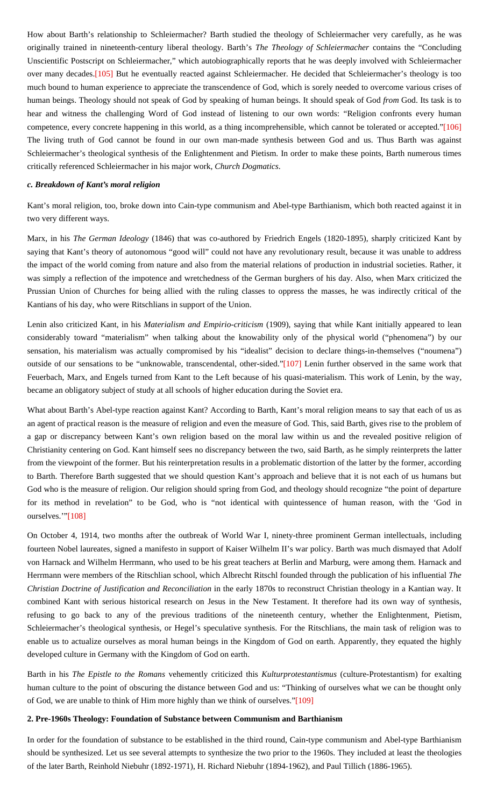<span id="page-12-0"></span>How about Barth's relationship to Schleiermacher? Barth studied the theology of Schleiermacher very carefully, as he was originally trained in nineteenth-century liberal theology. Barth's *The Theology of Schleiermacher* contains the "Concluding Unscientific Postscript on Schleiermacher," which autobiographically reports that he was deeply involved with Schleiermacher over many decades[.\[105\]](#page-25-21) But he eventually reacted against Schleiermacher. He decided that Schleiermacher's theology is too much bound to human experience to appreciate the transcendence of God, which is sorely needed to overcome various crises of human beings. Theology should not speak of God by speaking of human beings. It should speak of God *from* God. Its task is to hear and witness the challenging Word of God instead of listening to our own words: "Religion confronts every human competence, every concrete happening in this world, as a thing incomprehensible, which cannot be tolerated or accepted."[\[106\]](#page-25-22) The living truth of God cannot be found in our own man-made synthesis between God and us. Thus Barth was against Schleiermacher's theological synthesis of the Enlightenment and Pietism. In order to make these points, Barth numerous times critically referenced Schleiermacher in his major work, *Church Dogmatics*.

#### <span id="page-12-1"></span>*c. Breakdown of Kant's moral religion*

Kant's moral religion, too, broke down into Cain-type communism and Abel-type Barthianism, which both reacted against it in two very different ways.

Marx, in his *The German Ideology* (1846) that was co-authored by Friedrich Engels (1820-1895), sharply criticized Kant by saying that Kant's theory of autonomous "good will" could not have any revolutionary result, because it was unable to address the impact of the world coming from nature and also from the material relations of production in industrial societies. Rather, it was simply a reflection of the impotence and wretchedness of the German burghers of his day. Also, when Marx criticized the Prussian Union of Churches for being allied with the ruling classes to oppress the masses, he was indirectly critical of the Kantians of his day, who were Ritschlians in support of the Union.

<span id="page-12-2"></span>Lenin also criticized Kant, in his *Materialism and Empirio-criticism* (1909), saying that while Kant initially appeared to lean considerably toward "materialism" when talking about the knowability only of the physical world ("phenomena") by our sensation, his materialism was actually compromised by his "idealist" decision to declare things-in-themselves ("noumena") outside of our sensations to be "unknowable, transcendental, other-sided."[\[107\]](#page-25-23) Lenin further observed in the same work that Feuerbach, Marx, and Engels turned from Kant to the Left because of his quasi-materialism. This work of Lenin, by the way, became an obligatory subject of study at all schools of higher education during the Soviet era.

What about Barth's Abel-type reaction against Kant? According to Barth, Kant's moral religion means to say that each of us as an agent of practical reason is the measure of religion and even the measure of God. This, said Barth, gives rise to the problem of a gap or discrepancy between Kant's own religion based on the moral law within us and the revealed positive religion of Christianity centering on God. Kant himself sees no discrepancy between the two, said Barth, as he simply reinterprets the latter from the viewpoint of the former. But his reinterpretation results in a problematic distortion of the latter by the former, according to Barth. Therefore Barth suggested that we should question Kant's approach and believe that it is not each of us humans but God who is the measure of religion. Our religion should spring from God, and theology should recognize "the point of departure for its method in revelation" to be God, who is "not identical with quintessence of human reason, with the 'God in ourselves.'["\[108\]](#page-25-24)

<span id="page-12-3"></span>On October 4, 1914, two months after the outbreak of World War I, ninety-three prominent German intellectuals, including fourteen Nobel laureates, signed a manifesto in support of Kaiser Wilhelm II's war policy. Barth was much dismayed that Adolf von Harnack and Wilhelm Herrmann, who used to be his great teachers at Berlin and Marburg, were among them. Harnack and Herrmann were members of the Ritschlian school, which Albrecht Ritschl founded through the publication of his influential *The Christian Doctrine of Justification and Reconciliation* in the early 1870s to reconstruct Christian theology in a Kantian way. It combined Kant with serious historical research on Jesus in the New Testament. It therefore had its own way of synthesis, refusing to go back to any of the previous traditions of the nineteenth century, whether the Enlightenment, Pietism, Schleiermacher's theological synthesis, or Hegel's speculative synthesis. For the Ritschlians, the main task of religion was to enable us to actualize ourselves as moral human beings in the Kingdom of God on earth. Apparently, they equated the highly developed culture in Germany with the Kingdom of God on earth.

Barth in his *The Epistle to the Romans* vehemently criticized this *Kulturprotestantismus* (culture-Protestantism) for exalting human culture to the point of obscuring the distance between God and us: "Thinking of ourselves what we can be thought only of God, we are unable to think of Him more highly than we think of ourselves.["\[109\]](#page-25-25)

## <span id="page-12-4"></span>**2. Pre-1960s Theology: Foundation of Substance between Communism and Barthianism**

In order for the foundation of substance to be established in the third round, Cain-type communism and Abel-type Barthianism should be synthesized. Let us see several attempts to synthesize the two prior to the 1960s. They included at least the theologies of the later Barth, Reinhold Niebuhr (1892-1971), H. Richard Niebuhr (1894-1962), and Paul Tillich (1886-1965).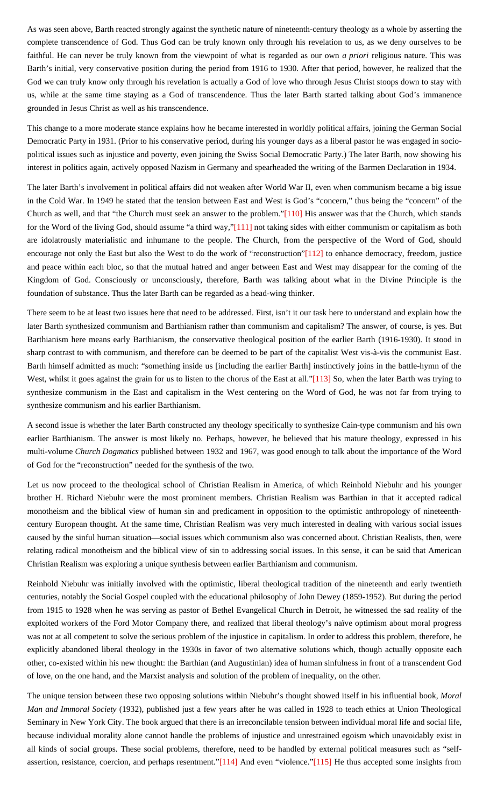As was seen above, Barth reacted strongly against the synthetic nature of nineteenth-century theology as a whole by asserting the complete transcendence of God. Thus God can be truly known only through his revelation to us, as we deny ourselves to be faithful. He can never be truly known from the viewpoint of what is regarded as our own *a priori* religious nature. This was Barth's initial, very conservative position during the period from 1916 to 1930. After that period, however, he realized that the God we can truly know only through his revelation is actually a God of love who through Jesus Christ stoops down to stay with us, while at the same time staying as a God of transcendence. Thus the later Barth started talking about God's immanence grounded in Jesus Christ as well as his transcendence.

This change to a more moderate stance explains how he became interested in worldly political affairs, joining the German Social Democratic Party in 1931. (Prior to his conservative period, during his younger days as a liberal pastor he was engaged in sociopolitical issues such as injustice and poverty, even joining the Swiss Social Democratic Party.) The later Barth, now showing his interest in politics again, actively opposed Nazism in Germany and spearheaded the writing of the Barmen Declaration in 1934.

<span id="page-13-1"></span><span id="page-13-0"></span>The later Barth's involvement in political affairs did not weaken after World War II, even when communism became a big issue in the Cold War. In 1949 he stated that the tension between East and West is God's "concern," thus being the "concern" of the Church as well, and that "the Church must seek an answer to the problem.["\[110\]](#page-25-26) His answer was that the Church, which stands for the Word of the living God, should assume "a third way,["\[111\]](#page-25-27) not taking sides with either communism or capitalism as both are idolatrously materialistic and inhumane to the people. The Church, from the perspective of the Word of God, should encourage not only the East but also the West to do the work of "reconstruction["\[112\]](#page-25-28) to enhance democracy, freedom, justice and peace within each bloc, so that the mutual hatred and anger between East and West may disappear for the coming of the Kingdom of God. Consciously or unconsciously, therefore, Barth was talking about what in the Divine Principle is the foundation of substance. Thus the later Barth can be regarded as a head-wing thinker.

<span id="page-13-2"></span>There seem to be at least two issues here that need to be addressed. First, isn't it our task here to understand and explain how the later Barth synthesized communism and Barthianism rather than communism and capitalism? The answer, of course, is yes. But Barthianism here means early Barthianism, the conservative theological position of the earlier Barth (1916-1930). It stood in sharp contrast to with communism, and therefore can be deemed to be part of the capitalist West vis-à-vis the communist East. Barth himself admitted as much: "something inside us [including the earlier Barth] instinctively joins in the battle-hymn of the West, whilst it goes against the grain for us to listen to the chorus of the East at all.["\[113\]](#page-25-29) So, when the later Barth was trying to synthesize communism in the East and capitalism in the West centering on the Word of God, he was not far from trying to synthesize communism and his earlier Barthianism.

<span id="page-13-3"></span>A second issue is whether the later Barth constructed any theology specifically to synthesize Cain-type communism and his own earlier Barthianism. The answer is most likely no. Perhaps, however, he believed that his mature theology, expressed in his multi-volume *Church Dogmatics* published between 1932 and 1967, was good enough to talk about the importance of the Word of God for the "reconstruction" needed for the synthesis of the two.

Let us now proceed to the theological school of Christian Realism in America, of which Reinhold Niebuhr and his younger brother H. Richard Niebuhr were the most prominent members. Christian Realism was Barthian in that it accepted radical monotheism and the biblical view of human sin and predicament in opposition to the optimistic anthropology of nineteenthcentury European thought. At the same time, Christian Realism was very much interested in dealing with various social issues caused by the sinful human situation—social issues which communism also was concerned about. Christian Realists, then, were relating radical monotheism and the biblical view of sin to addressing social issues. In this sense, it can be said that American Christian Realism was exploring a unique synthesis between earlier Barthianism and communism.

Reinhold Niebuhr was initially involved with the optimistic, liberal theological tradition of the nineteenth and early twentieth centuries, notably the Social Gospel coupled with the educational philosophy of John Dewey (1859-1952). But during the period from 1915 to 1928 when he was serving as pastor of Bethel Evangelical Church in Detroit, he witnessed the sad reality of the exploited workers of the Ford Motor Company there, and realized that liberal theology's naïve optimism about moral progress was not at all competent to solve the serious problem of the injustice in capitalism. In order to address this problem, therefore, he explicitly abandoned liberal theology in the 1930s in favor of two alternative solutions which, though actually opposite each other, co-existed within his new thought: the Barthian (and Augustinian) idea of human sinfulness in front of a transcendent God of love, on the one hand, and the Marxist analysis and solution of the problem of inequality, on the other.

<span id="page-13-4"></span>The unique tension between these two opposing solutions within Niebuhr's thought showed itself in his influential book, *Moral Man and Immoral Society* (1932), published just a few years after he was called in 1928 to teach ethics at Union Theological Seminary in New York City. The book argued that there is an irreconcilable tension between individual moral life and social life, because individual morality alone cannot handle the problems of injustice and unrestrained egoism which unavoidably exist in all kinds of social groups. These social problems, therefore, need to be handled by external political measures such as "selfassertion, resistance, coercion, and perhaps resentment." $[114]$  And even "violence." $[115]$  He thus accepted some insights from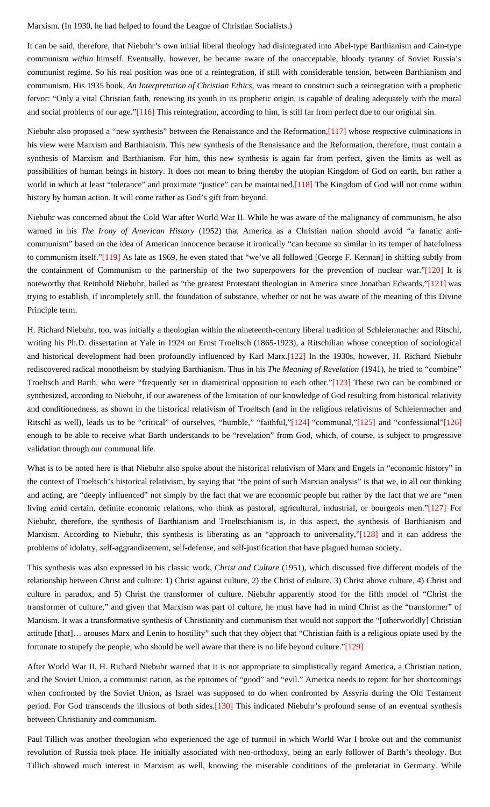#### Marxism. (In 1930, he had helped to found the League of Christian Socialists.)

It can be said, therefore, that Niebuhr's own initial liberal theology had disintegrated into Abel-type Barthianism and Cain-type communism *within* himself. Eventually, however, he became aware of the unacceptable, bloody tyranny of Soviet Russia's communist regime. So his real position was one of a reintegration, if still with considerable tension, between Barthianism and communism. His 1935 book, *An Interpretation of Christian Ethics*, was meant to construct such a reintegration with a prophetic fervor: "Only a vital Christian faith, renewing its youth in its prophetic origin, is capable of dealing adequately with the moral and social problems of our age.["\[116\]](#page-26-0) This reintegration, according to him, is still far from perfect due to our original sin.

<span id="page-14-1"></span><span id="page-14-0"></span>Niebuhr also proposed a "new synthesis" between the Renaissance and the Reformation,[\[117\]](#page-26-1) whose respective culminations in his view were Marxism and Barthianism. This new synthesis of the Renaissance and the Reformation, therefore, must contain a synthesis of Marxism and Barthianism. For him, this new synthesis is again far from perfect, given the limits as well as possibilities of human beings in history. It does not mean to bring thereby the utopian Kingdom of God on earth, but rather a world in which at least "tolerance" and proximate "justice" can be maintained.[\[118\]](#page-26-2) The Kingdom of God will not come within history by human action. It will come rather as God's gift from beyond.

<span id="page-14-4"></span><span id="page-14-3"></span><span id="page-14-2"></span>Niebuhr was concerned about the Cold War after World War II. While he was aware of the malignancy of communism, he also warned in his *The Irony of American History* (1952) that America as a Christian nation should avoid "a fanatic anticommunism" based on the idea of American innocence because it ironically "can become so similar in its temper of hatefulness to communism itself.["\[119\]](#page-26-3) As late as 1969, he even stated that "we've all followed [George F. Kennan] in shifting subtly from the containment of Communism to the partnership of the two superpowers for the prevention of nuclear war."[\[120\]](#page-26-4) It is noteworthy that Reinhold Niebuhr, hailed as "the greatest Protestant theologian in America since Jonathan Edwards,["\[121\]](#page-26-5) was trying to establish, if incompletely still, the foundation of substance, whether or not he was aware of the meaning of this Divine Principle term.

<span id="page-14-7"></span><span id="page-14-6"></span><span id="page-14-5"></span>H. Richard Niebuhr, too, was initially a theologian within the nineteenth-century liberal tradition of Schleiermacher and Ritschl, writing his Ph.D. dissertation at Yale in 1924 on Ernst Troeltsch (1865-1923), a Ritschilian whose conception of sociological and historical development had been profoundly influenced by Karl Marx[.\[122\]](#page-26-6) In the 1930s, however, H. Richard Niebuhr rediscovered radical monotheism by studying Barthianism. Thus in his *The Meaning of Revelation* (1941), he tried to "combine" Troeltsch and Barth, who were "frequently set in diametrical opposition to each other.["\[123\]](#page-26-7) These two can be combined or synthesized, according to Niebuhr, if our awareness of the limitation of our knowledge of God resulting from historical relativity and conditionedness, as shown in the historical relativism of Troeltsch (and in the religious relativisms of Schleiermacher and Ritschl as well), leads us to be "critical" of ourselves, "humble," "faithful,["\[124\]](#page-26-8) "communal,["\[125\]](#page-26-9) and "confessional["\[126\]](#page-26-10) enough to be able to receive what Barth understands to be "revelation" from God, which, of course, is subject to progressive validation through our communal life.

<span id="page-14-9"></span><span id="page-14-8"></span>What is to be noted here is that Niebuhr also spoke about the historical relativism of Marx and Engels in "economic history" in the context of Troeltsch's historical relativism, by saying that "the point of such Marxian analysis" is that we, in all our thinking and acting, are "deeply influenced" not simply by the fact that we are economic people but rather by the fact that we are "men living amid certain, definite economic relations, who think as pastoral, agricultural, industrial, or bourgeois men.["\[127\]](#page-26-11) For Niebuhr, therefore, the synthesis of Barthianism and Troeltschianism is, in this aspect, the synthesis of Barthianism and Marxism. According to Niebuhr, this synthesis is liberating as an "approach to universality,"[\[128\]](#page-26-12) and it can address the problems of idolatry, self-aggrandizement, self-defense, and self-justification that have plagued human society.

<span id="page-14-10"></span>This synthesis was also expressed in his classic work, *Christ and Culture* (1951), which discussed five different models of the relationship between Christ and culture: 1) Christ against culture, 2) the Christ of culture, 3) Christ above culture, 4) Christ and culture in paradox, and 5) Christ the transformer of culture. Niebuhr apparently stood for the fifth model of "Christ the transformer of culture," and given that Marxism was part of culture, he must have had in mind Christ as the "transformer" of Marxism. It was a transformative synthesis of Christianity and communism that would not support the "[otherworldly] Christian attitude [that]… arouses Marx and Lenin to hostility" such that they object that "Christian faith is a religious opiate used by the fortunate to stupefy the people, who should be well aware that there is no life beyond culture.["\[129\]](#page-26-13)

<span id="page-14-11"></span>After World War II, H. Richard Niebuhr warned that it is not appropriate to simplistically regard America, a Christian nation, and the Soviet Union, a communist nation, as the epitomes of "good" and "evil." America needs to repent for her shortcomings when confronted by the Soviet Union, as Israel was supposed to do when confronted by Assyria during the Old Testament period. For God transcends the illusions of both sides[.\[130\]](#page-26-14) This indicated Niebuhr's profound sense of an eventual synthesis between Christianity and communism.

<span id="page-14-12"></span>Paul Tillich was another theologian who experienced the age of turmoil in which World War I broke out and the communist revolution of Russia took place. He initially associated with neo-orthodoxy, being an early follower of Barth's theology. But Tillich showed much interest in Marxism as well, knowing the miserable conditions of the proletariat in Germany. While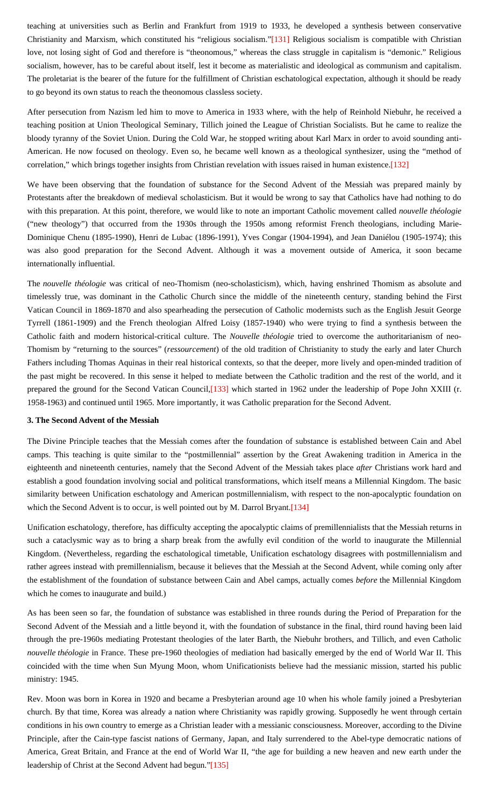<span id="page-15-0"></span>teaching at universities such as Berlin and Frankfurt from 1919 to 1933, he developed a synthesis between conservative Christianity and Marxism, which constituted his "religious socialism.["\[131\]](#page-26-15) Religious socialism is compatible with Christian love, not losing sight of God and therefore is "theonomous," whereas the class struggle in capitalism is "demonic." Religious socialism, however, has to be careful about itself, lest it become as materialistic and ideological as communism and capitalism. The proletariat is the bearer of the future for the fulfillment of Christian eschatological expectation, although it should be ready to go beyond its own status to reach the theonomous classless society.

After persecution from Nazism led him to move to America in 1933 where, with the help of Reinhold Niebuhr, he received a teaching position at Union Theological Seminary, Tillich joined the League of Christian Socialists. But he came to realize the bloody tyranny of the Soviet Union. During the Cold War, he stopped writing about Karl Marx in order to avoid sounding anti-American. He now focused on theology. Even so, he became well known as a theological synthesizer, using the "method of correlation," which brings together insights from Christian revelation with issues raised in human existence[.\[132\]](#page-26-16)

<span id="page-15-1"></span>We have been observing that the foundation of substance for the Second Advent of the Messiah was prepared mainly by Protestants after the breakdown of medieval scholasticism. But it would be wrong to say that Catholics have had nothing to do with this preparation. At this point, therefore, we would like to note an important Catholic movement called *nouvelle théologie* ("new theology") that occurred from the 1930s through the 1950s among reformist French theologians, including Marie-Dominique Chenu (1895-1990), Henri de Lubac (1896-1991), Yves Congar (1904-1994), and Jean Daniélou (1905-1974); this was also good preparation for the Second Advent. Although it was a movement outside of America, it soon became internationally influential.

The *nouvelle théologie* was critical of neo-Thomism (neo-scholasticism), which, having enshrined Thomism as absolute and timelessly true, was dominant in the Catholic Church since the middle of the nineteenth century, standing behind the First Vatican Council in 1869-1870 and also spearheading the persecution of Catholic modernists such as the English Jesuit George Tyrrell (1861-1909) and the French theologian Alfred Loisy (1857-1940) who were trying to find a synthesis between the Catholic faith and modern historical-critical culture. The *Nouvelle théologie* tried to overcome the authoritarianism of neo-Thomism by "returning to the sources" (*ressourcement*) of the old tradition of Christianity to study the early and later Church Fathers including Thomas Aquinas in their real historical contexts, so that the deeper, more lively and open-minded tradition of the past might be recovered. In this sense it helped to mediate between the Catholic tradition and the rest of the world, and it prepared the ground for the Second Vatican Council, [\[133\]](#page-26-17) which started in 1962 under the leadership of Pope John XXIII (r. 1958-1963) and continued until 1965. More importantly, it was Catholic preparation for the Second Advent.

#### <span id="page-15-2"></span>**3. The Second Advent of the Messiah**

The Divine Principle teaches that the Messiah comes after the foundation of substance is established between Cain and Abel camps. This teaching is quite similar to the "postmillennial" assertion by the Great Awakening tradition in America in the eighteenth and nineteenth centuries, namely that the Second Advent of the Messiah takes place *after* Christians work hard and establish a good foundation involving social and political transformations, which itself means a Millennial Kingdom. The basic similarity between Unification eschatology and American postmillennialism, with respect to the non-apocalyptic foundation on which the Second Advent is to occur, is well pointed out by M. Darrol Bryant[.\[134\]](#page-26-18)

<span id="page-15-3"></span>Unification eschatology, therefore, has difficulty accepting the apocalyptic claims of premillennialists that the Messiah returns in such a cataclysmic way as to bring a sharp break from the awfully evil condition of the world to inaugurate the Millennial Kingdom. (Nevertheless, regarding the eschatological timetable, Unification eschatology disagrees with postmillennialism and rather agrees instead with premillennialism, because it believes that the Messiah at the Second Advent, while coming only after the establishment of the foundation of substance between Cain and Abel camps, actually comes *before* the Millennial Kingdom which he comes to inaugurate and build.)

As has been seen so far, the foundation of substance was established in three rounds during the Period of Preparation for the Second Advent of the Messiah and a little beyond it, with the foundation of substance in the final, third round having been laid through the pre-1960s mediating Protestant theologies of the later Barth, the Niebuhr brothers, and Tillich, and even Catholic *nouvelle théologie* in France. These pre-1960 theologies of mediation had basically emerged by the end of World War II. This coincided with the time when Sun Myung Moon, whom Unificationists believe had the messianic mission, started his public ministry: 1945.

<span id="page-15-4"></span>Rev. Moon was born in Korea in 1920 and became a Presbyterian around age 10 when his whole family joined a Presbyterian church. By that time, Korea was already a nation where Christianity was rapidly growing. Supposedly he went through certain conditions in his own country to emerge as a Christian leader with a messianic consciousness. Moreover, according to the Divine Principle, after the Cain-type fascist nations of Germany, Japan, and Italy surrendered to the Abel-type democratic nations of America, Great Britain, and France at the end of World War II, "the age for building a new heaven and new earth under the leadership of Christ at the Second Advent had begun."[\[135\]](#page-26-19)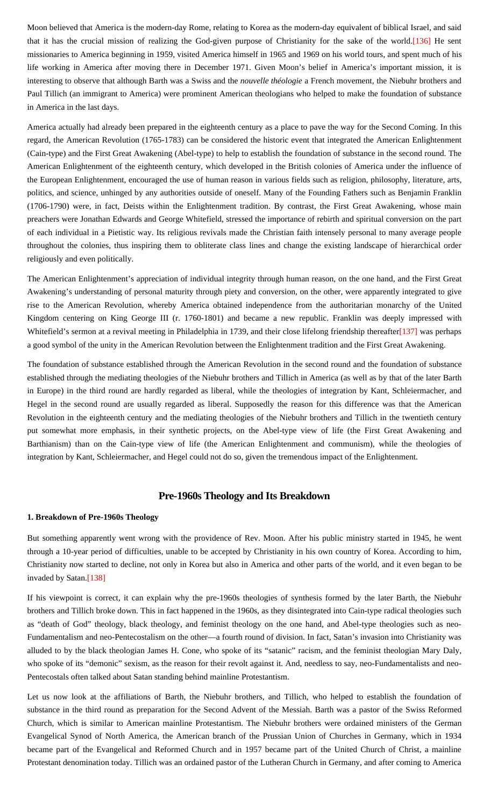<span id="page-16-0"></span>Moon believed that America is the modern-day Rome, relating to Korea as the modern-day equivalent of biblical Israel, and said that it has the crucial mission of realizing the God-given purpose of Christianity for the sake of the world.[\[136\]](#page-26-20) He sent missionaries to America beginning in 1959, visited America himself in 1965 and 1969 on his world tours, and spent much of his life working in America after moving there in December 1971. Given Moon's belief in America's important mission, it is interesting to observe that although Barth was a Swiss and the *nouvelle théologie* a French movement, the Niebuhr brothers and Paul Tillich (an immigrant to America) were prominent American theologians who helped to make the foundation of substance in America in the last days.

America actually had already been prepared in the eighteenth century as a place to pave the way for the Second Coming. In this regard, the American Revolution (1765-1783) can be considered the historic event that integrated the American Enlightenment (Cain-type) and the First Great Awakening (Abel-type) to help to establish the foundation of substance in the second round. The American Enlightenment of the eighteenth century, which developed in the British colonies of America under the influence of the European Enlightenment, encouraged the use of human reason in various fields such as religion, philosophy, literature, arts, politics, and science, unhinged by any authorities outside of oneself. Many of the Founding Fathers such as Benjamin Franklin (1706-1790) were, in fact, Deists within the Enlightenment tradition. By contrast, the First Great Awakening, whose main preachers were Jonathan Edwards and George Whitefield, stressed the importance of rebirth and spiritual conversion on the part of each individual in a Pietistic way. Its religious revivals made the Christian faith intensely personal to many average people throughout the colonies, thus inspiring them to obliterate class lines and change the existing landscape of hierarchical order religiously and even politically.

The American Enlightenment's appreciation of individual integrity through human reason, on the one hand, and the First Great Awakening's understanding of personal maturity through piety and conversion, on the other, were apparently integrated to give rise to the American Revolution, whereby America obtained independence from the authoritarian monarchy of the United Kingdom centering on King George III (r. 1760-1801) and became a new republic. Franklin was deeply impressed with Whitefield's sermon at a revival meeting in Philadelphia in 1739, and their close lifelong friendship thereafte[r\[137\]](#page-26-21) was perhaps a good symbol of the unity in the American Revolution between the Enlightenment tradition and the First Great Awakening.

<span id="page-16-1"></span>The foundation of substance established through the American Revolution in the second round and the foundation of substance established through the mediating theologies of the Niebuhr brothers and Tillich in America (as well as by that of the later Barth in Europe) in the third round are hardly regarded as liberal, while the theologies of integration by Kant, Schleiermacher, and Hegel in the second round are usually regarded as liberal. Supposedly the reason for this difference was that the American Revolution in the eighteenth century and the mediating theologies of the Niebuhr brothers and Tillich in the twentieth century put somewhat more emphasis, in their synthetic projects, on the Abel-type view of life (the First Great Awakening and Barthianism) than on the Cain-type view of life (the American Enlightenment and communism), while the theologies of integration by Kant, Schleiermacher, and Hegel could not do so, given the tremendous impact of the Enlightenment.

# **Pre-1960s Theology and Its Breakdown**

## **1. Breakdown of Pre-1960s Theology**

But something apparently went wrong with the providence of Rev. Moon. After his public ministry started in 1945, he went through a 10-year period of difficulties, unable to be accepted by Christianity in his own country of Korea. According to him, Christianity now started to decline, not only in Korea but also in America and other parts of the world, and it even began to be invaded by Satan[.\[138\]](#page-26-22)

<span id="page-16-2"></span>If his viewpoint is correct, it can explain why the pre-1960s theologies of synthesis formed by the later Barth, the Niebuhr brothers and Tillich broke down. This in fact happened in the 1960s, as they disintegrated into Cain-type radical theologies such as "death of God" theology, black theology, and feminist theology on the one hand, and Abel-type theologies such as neo-Fundamentalism and neo-Pentecostalism on the other—a fourth round of division. In fact, Satan's invasion into Christianity was alluded to by the black theologian James H. Cone, who spoke of its "satanic" racism, and the feminist theologian Mary Daly, who spoke of its "demonic" sexism, as the reason for their revolt against it. And, needless to say, neo-Fundamentalists and neo-Pentecostals often talked about Satan standing behind mainline Protestantism.

Let us now look at the affiliations of Barth, the Niebuhr brothers, and Tillich, who helped to establish the foundation of substance in the third round as preparation for the Second Advent of the Messiah. Barth was a pastor of the Swiss Reformed Church, which is similar to American mainline Protestantism. The Niebuhr brothers were ordained ministers of the German Evangelical Synod of North America, the American branch of the Prussian Union of Churches in Germany, which in 1934 became part of the Evangelical and Reformed Church and in 1957 became part of the United Church of Christ, a mainline Protestant denomination today. Tillich was an ordained pastor of the Lutheran Church in Germany, and after coming to America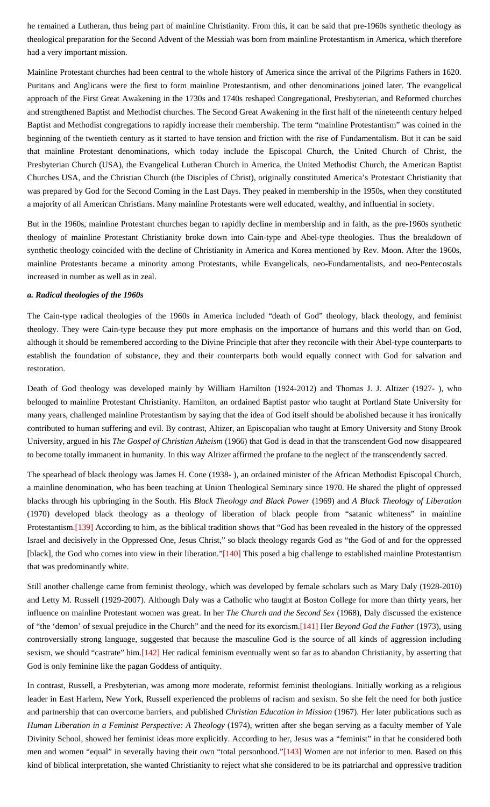he remained a Lutheran, thus being part of mainline Christianity. From this, it can be said that pre-1960s synthetic theology as theological preparation for the Second Advent of the Messiah was born from mainline Protestantism in America, which therefore had a very important mission.

Mainline Protestant churches had been central to the whole history of America since the arrival of the Pilgrims Fathers in 1620. Puritans and Anglicans were the first to form mainline Protestantism, and other denominations joined later. The evangelical approach of the First Great Awakening in the 1730s and 1740s reshaped Congregational, Presbyterian, and Reformed churches and strengthened Baptist and Methodist churches. The Second Great Awakening in the first half of the nineteenth century helped Baptist and Methodist congregations to rapidly increase their membership. The term "mainline Protestantism" was coined in the beginning of the twentieth century as it started to have tension and friction with the rise of Fundamentalism. But it can be said that mainline Protestant denominations, which today include the Episcopal Church, the United Church of Christ, the Presbyterian Church (USA), the Evangelical Lutheran Church in America, the United Methodist Church, the American Baptist Churches USA, and the Christian Church (the Disciples of Christ), originally constituted America's Protestant Christianity that was prepared by God for the Second Coming in the Last Days. They peaked in membership in the 1950s, when they constituted a majority of all American Christians. Many mainline Protestants were well educated, wealthy, and influential in society.

But in the 1960s, mainline Protestant churches began to rapidly decline in membership and in faith, as the pre-1960s synthetic theology of mainline Protestant Christianity broke down into Cain-type and Abel-type theologies. Thus the breakdown of synthetic theology coincided with the decline of Christianity in America and Korea mentioned by Rev. Moon. After the 1960s, mainline Protestants became a minority among Protestants, while Evangelicals, neo-Fundamentalists, and neo-Pentecostals increased in number as well as in zeal.

#### *a. Radical theologies of the 1960s*

The Cain-type radical theologies of the 1960s in America included "death of God" theology, black theology, and feminist theology. They were Cain-type because they put more emphasis on the importance of humans and this world than on God, although it should be remembered according to the Divine Principle that after they reconcile with their Abel-type counterparts to establish the foundation of substance, they and their counterparts both would equally connect with God for salvation and restoration.

Death of God theology was developed mainly by William Hamilton (1924-2012) and Thomas J. J. Altizer (1927- ), who belonged to mainline Protestant Christianity. Hamilton, an ordained Baptist pastor who taught at Portland State University for many years, challenged mainline Protestantism by saying that the idea of God itself should be abolished because it has ironically contributed to human suffering and evil. By contrast, Altizer, an Episcopalian who taught at Emory University and Stony Brook University, argued in his *The Gospel of Christian Atheism* (1966) that God is dead in that the transcendent God now disappeared to become totally immanent in humanity. In this way Altizer affirmed the profane to the neglect of the transcendently sacred.

<span id="page-17-0"></span>The spearhead of black theology was James H. Cone (1938- ), an ordained minister of the African Methodist Episcopal Church, a mainline denomination, who has been teaching at Union Theological Seminary since 1970. He shared the plight of oppressed blacks through his upbringing in the South. His *Black Theology and Black Power* (1969) and *A Black Theology of Liberation* (1970) developed black theology as a theology of liberation of black people from "satanic whiteness" in mainline Protestantism[.\[139\]](#page-26-23) According to him, as the biblical tradition shows that "God has been revealed in the history of the oppressed Israel and decisively in the Oppressed One, Jesus Christ," so black theology regards God as "the God of and for the oppressed [black], the God who comes into view in their liberation.["\[140\]](#page-26-24) This posed a big challenge to established mainline Protestantism that was predominantly white.

<span id="page-17-2"></span><span id="page-17-1"></span>Still another challenge came from feminist theology, which was developed by female scholars such as Mary Daly (1928-2010) and Letty M. Russell (1929-2007). Although Daly was a Catholic who taught at Boston College for more than thirty years, her influence on mainline Protestant women was great. In her *The Church and the Second Sex* (1968), Daly discussed the existence of "the 'demon' of sexual prejudice in the Church" and the need for its exorcism.[\[141\]](#page-26-25) Her *Beyond God the Father* (1973), using controversially strong language, suggested that because the masculine God is the source of all kinds of aggression including sexism, we should "castrate" him.[\[142\]](#page-26-26) Her radical feminism eventually went so far as to abandon Christianity, by asserting that God is only feminine like the pagan Goddess of antiquity.

<span id="page-17-4"></span><span id="page-17-3"></span>In contrast, Russell, a Presbyterian, was among more moderate, reformist feminist theologians. Initially working as a religious leader in East Harlem, New York, Russell experienced the problems of racism and sexism. So she felt the need for both justice and partnership that can overcome barriers, and published *Christian Education in Mission* (1967). Her later publications such as *Human Liberation in a Feminist Perspective: A Theology* (1974), written after she began serving as a faculty member of Yale Divinity School, showed her feminist ideas more explicitly. According to her, Jesus was a "feminist" in that he considered both men and women "equal" in severally having their own "total personhood.["\[143\]](#page-26-27) Women are not inferior to men. Based on this kind of biblical interpretation, she wanted Christianity to reject what she considered to be its patriarchal and oppressive tradition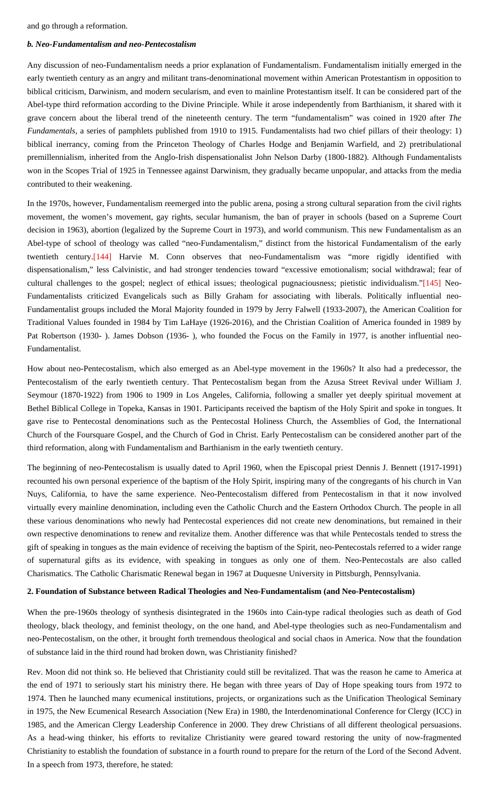and go through a reformation.

### *b. Neo-Fundamentalism and neo-Pentecostalism*

Any discussion of neo-Fundamentalism needs a prior explanation of Fundamentalism. Fundamentalism initially emerged in the early twentieth century as an angry and militant trans-denominational movement within American Protestantism in opposition to biblical criticism, Darwinism, and modern secularism, and even to mainline Protestantism itself. It can be considered part of the Abel-type third reformation according to the Divine Principle. While it arose independently from Barthianism, it shared with it grave concern about the liberal trend of the nineteenth century. The term "fundamentalism" was coined in 1920 after *The Fundamentals*, a series of pamphlets published from 1910 to 1915. Fundamentalists had two chief pillars of their theology: 1) biblical inerrancy, coming from the Princeton Theology of Charles Hodge and Benjamin Warfield, and 2) pretribulational premillennialism, inherited from the Anglo-Irish dispensationalist John Nelson Darby (1800-1882). Although Fundamentalists won in the Scopes Trial of 1925 in Tennessee against Darwinism, they gradually became unpopular, and attacks from the media contributed to their weakening.

<span id="page-18-1"></span><span id="page-18-0"></span>In the 1970s, however, Fundamentalism reemerged into the public arena, posing a strong cultural separation from the civil rights movement, the women's movement, gay rights, secular humanism, the ban of prayer in schools (based on a Supreme Court decision in 1963), abortion (legalized by the Supreme Court in 1973), and world communism. This new Fundamentalism as an Abel-type of school of theology was called "neo-Fundamentalism," distinct from the historical Fundamentalism of the early twentieth century.[\[144\]](#page-26-28) Harvie M. Conn observes that neo-Fundamentalism was "more rigidly identified with dispensationalism," less Calvinistic, and had stronger tendencies toward "excessive emotionalism; social withdrawal; fear of cultural challenges to the gospel; neglect of ethical issues; theological pugnaciousness; pietistic individualism.["\[145\]](#page-26-29) Neo-Fundamentalists criticized Evangelicals such as Billy Graham for associating with liberals. Politically influential neo-Fundamentalist groups included the Moral Majority founded in 1979 by Jerry Falwell (1933-2007), the American Coalition for Traditional Values founded in 1984 by Tim LaHaye (1926-2016), and the Christian Coalition of America founded in 1989 by Pat Robertson (1930-). James Dobson (1936-), who founded the Focus on the Family in 1977, is another influential neo-Fundamentalist.

How about neo-Pentecostalism, which also emerged as an Abel-type movement in the 1960s? It also had a predecessor, the Pentecostalism of the early twentieth century. That Pentecostalism began from the Azusa Street Revival under William J. Seymour (1870-1922) from 1906 to 1909 in Los Angeles, California, following a smaller yet deeply spiritual movement at Bethel Biblical College in Topeka, Kansas in 1901. Participants received the baptism of the Holy Spirit and spoke in tongues. It gave rise to Pentecostal denominations such as the Pentecostal Holiness Church, the Assemblies of God, the International Church of the Foursquare Gospel, and the Church of God in Christ. Early Pentecostalism can be considered another part of the third reformation, along with Fundamentalism and Barthianism in the early twentieth century.

The beginning of neo-Pentecostalism is usually dated to April 1960, when the Episcopal priest Dennis J. Bennett (1917-1991) recounted his own personal experience of the baptism of the Holy Spirit, inspiring many of the congregants of his church in Van Nuys, California, to have the same experience. Neo-Pentecostalism differed from Pentecostalism in that it now involved virtually every mainline denomination, including even the Catholic Church and the Eastern Orthodox Church. The people in all these various denominations who newly had Pentecostal experiences did not create new denominations, but remained in their own respective denominations to renew and revitalize them. Another difference was that while Pentecostals tended to stress the gift of speaking in tongues as the main evidence of receiving the baptism of the Spirit, neo-Pentecostals referred to a wider range of supernatural gifts as its evidence, with speaking in tongues as only one of them. Neo-Pentecostals are also called Charismatics. The Catholic Charismatic Renewal began in 1967 at Duquesne University in Pittsburgh, Pennsylvania.

## **2. Foundation of Substance between Radical Theologies and Neo-Fundamentalism (and Neo-Pentecostalism)**

When the pre-1960s theology of synthesis disintegrated in the 1960s into Cain-type radical theologies such as death of God theology, black theology, and feminist theology, on the one hand, and Abel-type theologies such as neo-Fundamentalism and neo-Pentecostalism, on the other, it brought forth tremendous theological and social chaos in America. Now that the foundation of substance laid in the third round had broken down, was Christianity finished?

Rev. Moon did not think so. He believed that Christianity could still be revitalized. That was the reason he came to America at the end of 1971 to seriously start his ministry there. He began with three years of Day of Hope speaking tours from 1972 to 1974. Then he launched many ecumenical institutions, projects, or organizations such as the Unification Theological Seminary in 1975, the New Ecumenical Research Association (New Era) in 1980, the Interdenominational Conference for Clergy (ICC) in 1985, and the American Clergy Leadership Conference in 2000. They drew Christians of all different theological persuasions. As a head-wing thinker, his efforts to revitalize Christianity were geared toward restoring the unity of now-fragmented Christianity to establish the foundation of substance in a fourth round to prepare for the return of the Lord of the Second Advent. In a speech from 1973, therefore, he stated: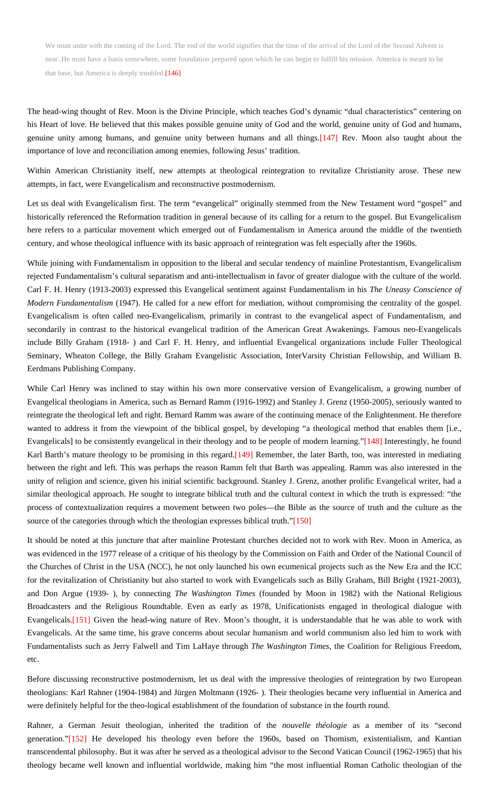We must unite with the coming of the Lord. The end of the world signifies that the time of the arrival of the Lord of the Second Advent is near. He must have a basis somewhere, some foundation prepared upon which he can begin to fulfill his mission. America is meant to be that base, but America is deeply troubled[.\[146\]](#page-27-0)

<span id="page-19-1"></span><span id="page-19-0"></span>The head-wing thought of Rev. Moon is the Divine Principle, which teaches God's dynamic "dual characteristics" centering on his Heart of love. He believed that this makes possible genuine unity of God and the world, genuine unity of God and humans, genuine unity among humans, and genuine unity between humans and all things[.\[147\]](#page-27-1) Rev. Moon also taught about the importance of love and reconciliation among enemies, following Jesus' tradition.

Within American Christianity itself, new attempts at theological reintegration to revitalize Christianity arose. These new attempts, in fact, were Evangelicalism and reconstructive postmodernism.

Let us deal with Evangelicalism first. The term "evangelical" originally stemmed from the New Testament word "gospel" and historically referenced the Reformation tradition in general because of its calling for a return to the gospel. But Evangelicalism here refers to a particular movement which emerged out of Fundamentalism in America around the middle of the twentieth century, and whose theological influence with its basic approach of reintegration was felt especially after the 1960s.

While joining with Fundamentalism in opposition to the liberal and secular tendency of mainline Protestantism, Evangelicalism rejected Fundamentalism's cultural separatism and anti-intellectualism in favor of greater dialogue with the culture of the world. Carl F. H. Henry (1913-2003) expressed this Evangelical sentiment against Fundamentalism in his *The Uneasy Conscience of Modern Fundamentalism* (1947). He called for a new effort for mediation, without compromising the centrality of the gospel. Evangelicalism is often called neo-Evangelicalism, primarily in contrast to the evangelical aspect of Fundamentalism, and secondarily in contrast to the historical evangelical tradition of the American Great Awakenings. Famous neo-Evangelicals include Billy Graham (1918- ) and Carl F. H. Henry, and influential Evangelical organizations include Fuller Theological Seminary, Wheaton College, the Billy Graham Evangelistic Association, InterVarsity Christian Fellowship, and William B. Eerdmans Publishing Company.

<span id="page-19-3"></span><span id="page-19-2"></span>While Carl Henry was inclined to stay within his own more conservative version of Evangelicalism, a growing number of Evangelical theologians in America, such as Bernard Ramm (1916-1992) and Stanley J. Grenz (1950-2005), seriously wanted to reintegrate the theological left and right. Bernard Ramm was aware of the continuing menace of the Enlightenment. He therefore wanted to address it from the viewpoint of the biblical gospel, by developing "a theological method that enables them [i.e., Evangelicals] to be consistently evangelical in their theology and to be people of modern learning."[\[148\]](#page-27-2) Interestingly, he found Karl Barth's mature theology to be promising in this regard. [149] Remember, the later Barth, too, was interested in mediating between the right and left. This was perhaps the reason Ramm felt that Barth was appealing. Ramm was also interested in the unity of religion and science, given his initial scientific background. Stanley J. Grenz, another prolific Evangelical writer, had a similar theological approach. He sought to integrate biblical truth and the cultural context in which the truth is expressed: "the process of contextualization requires a movement between two poles—the Bible as the source of truth and the culture as the source of the categories through which the theologian expresses biblical truth.["\[150\]](#page-27-4)

<span id="page-19-4"></span>It should be noted at this juncture that after mainline Protestant churches decided not to work with Rev. Moon in America, as was evidenced in the 1977 release of a critique of his theology by the Commission on Faith and Order of the National Council of the Churches of Christ in the USA (NCC), he not only launched his own ecumenical projects such as the New Era and the ICC for the revitalization of Christianity but also started to work with Evangelicals such as Billy Graham, Bill Bright (1921-2003), and Don Argue (1939- ), by connecting *The Washington Times* (founded by Moon in 1982) with the National Religious Broadcasters and the Religious Roundtable. Even as early as 1978, Unificationists engaged in theological dialogue with Evangelicals[.\[151\]](#page-27-5) Given the head-wing nature of Rev. Moon's thought, it is understandable that he was able to work with Evangelicals. At the same time, his grave concerns about secular humanism and world communism also led him to work with Fundamentalists such as Jerry Falwell and Tim LaHaye through *The Washington Times*, the Coalition for Religious Freedom, etc.

<span id="page-19-5"></span>Before discussing reconstructive postmodernism, let us deal with the impressive theologies of reintegration by two European theologians: Karl Rahner (1904-1984) and Jürgen Moltmann (1926- ). Their theologies became very influential in America and were definitely helpful for the theo-logical establishment of the foundation of substance in the fourth round.

<span id="page-19-6"></span>Rahner, a German Jesuit theologian, inherited the tradition of the *nouvelle théologie* as a member of its "second generation.["\[152\]](#page-27-6) He developed his theology even before the 1960s, based on Thomism, existentialism, and Kantian transcendental philosophy. But it was after he served as a theological advisor to the Second Vatican Council (1962-1965) that his theology became well known and influential worldwide, making him "the most influential Roman Catholic theologian of the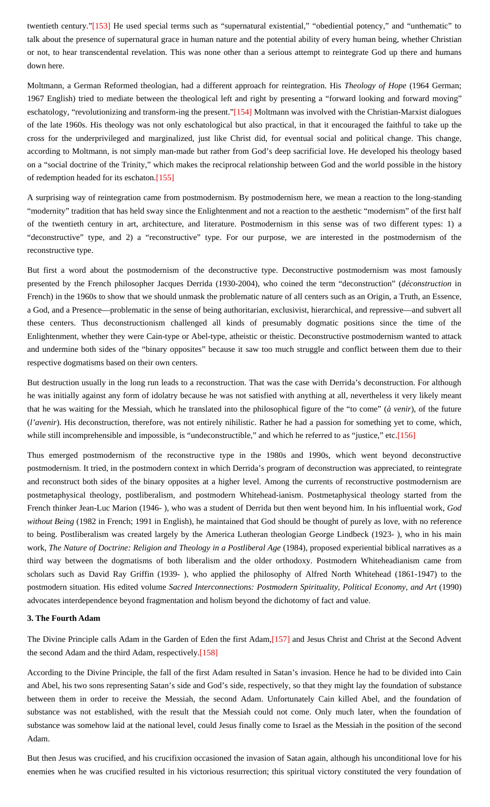<span id="page-20-0"></span>twentieth century.["\[153\]](#page-27-7) He used special terms such as "supernatural existential," "obediential potency," and "unthematic" to talk about the presence of supernatural grace in human nature and the potential ability of every human being, whether Christian or not, to hear transcendental revelation. This was none other than a serious attempt to reintegrate God up there and humans down here.

<span id="page-20-1"></span>Moltmann, a German Reformed theologian, had a different approach for reintegration. His *Theology of Hope* (1964 German; 1967 English) tried to mediate between the theological left and right by presenting a "forward looking and forward moving" eschatology, "revolutionizing and transform-ing the present.["\[154\]](#page-27-8) Moltmann was involved with the Christian-Marxist dialogues of the late 1960s. His theology was not only eschatological but also practical, in that it encouraged the faithful to take up the cross for the underprivileged and marginalized, just like Christ did, for eventual social and political change. This change, according to Moltmann, is not simply man-made but rather from God's deep sacrificial love. He developed his theology based on a "social doctrine of the Trinity," which makes the reciprocal relationship between God and the world possible in the history of redemption headed for its eschaton.[\[155\]](#page-27-9)

<span id="page-20-2"></span>A surprising way of reintegration came from postmodernism. By postmodernism here, we mean a reaction to the long-standing "modernity" tradition that has held sway since the Enlightenment and not a reaction to the aesthetic "modernism" of the first half of the twentieth century in art, architecture, and literature. Postmodernism in this sense was of two different types: 1) a "deconstructive" type, and 2) a "reconstructive" type. For our purpose, we are interested in the postmodernism of the reconstructive type.

But first a word about the postmodernism of the deconstructive type. Deconstructive postmodernism was most famously presented by the French philosopher Jacques Derrida (1930-2004), who coined the term "deconstruction" (*déconstruction* in French) in the 1960s to show that we should unmask the problematic nature of all centers such as an Origin, a Truth, an Essence, a God, and a Presence—problematic in the sense of being authoritarian, exclusivist, hierarchical, and repressive—and subvert all these centers. Thus deconstructionism challenged all kinds of presumably dogmatic positions since the time of the Enlightenment, whether they were Cain-type or Abel-type, atheistic or theistic. Deconstructive postmodernism wanted to attack and undermine both sides of the "binary opposites" because it saw too much struggle and conflict between them due to their respective dogmatisms based on their own centers.

But destruction usually in the long run leads to a reconstruction. That was the case with Derrida's deconstruction. For although he was initially against any form of idolatry because he was not satisfied with anything at all, nevertheless it very likely meant that he was waiting for the Messiah, which he translated into the philosophical figure of the "to come" (*à venir*), of the future (*l'avenir*). His deconstruction, therefore, was not entirely nihilistic. Rather he had a passion for something yet to come, which, while still incomprehensible and impossible, is "undeconstructible," and which he referred to as "justice," etc[.\[156\]](#page-27-10)

<span id="page-20-3"></span>Thus emerged postmodernism of the reconstructive type in the 1980s and 1990s, which went beyond deconstructive postmodernism. It tried, in the postmodern context in which Derrida's program of deconstruction was appreciated, to reintegrate and reconstruct both sides of the binary opposites at a higher level. Among the currents of reconstructive postmodernism are postmetaphysical theology, postliberalism, and postmodern Whitehead-ianism. Postmetaphysical theology started from the French thinker Jean-Luc Marion (1946- ), who was a student of Derrida but then went beyond him. In his influential work, *God without Being* (1982 in French; 1991 in English), he maintained that God should be thought of purely as love, with no reference to being. Postliberalism was created largely by the America Lutheran theologian George Lindbeck (1923- ), who in his main work, *The Nature of Doctrine: Religion and Theology in a Postliberal Age* (1984), proposed experiential biblical narratives as a third way between the dogmatisms of both liberalism and the older orthodoxy. Postmodern Whiteheadianism came from scholars such as David Ray Griffin (1939- ), who applied the philosophy of Alfred North Whitehead (1861-1947) to the postmodern situation. His edited volume *Sacred Interconnections: Postmodern Spirituality, Political Economy, and Art* (1990) advocates interdependence beyond fragmentation and holism beyond the dichotomy of fact and value.

### **3. The Fourth Adam**

<span id="page-20-5"></span><span id="page-20-4"></span>The Divine Principle calls Adam in the Garden of Eden the first Adam[,\[157\]](#page-27-11) and Jesus Christ and Christ at the Second Advent the second Adam and the third Adam, respectively[.\[158\]](#page-27-12)

According to the Divine Principle, the fall of the first Adam resulted in Satan's invasion. Hence he had to be divided into Cain and Abel, his two sons representing Satan's side and God's side, respectively, so that they might lay the foundation of substance between them in order to receive the Messiah, the second Adam. Unfortunately Cain killed Abel, and the foundation of substance was not established, with the result that the Messiah could not come. Only much later, when the foundation of substance was somehow laid at the national level, could Jesus finally come to Israel as the Messiah in the position of the second Adam.

But then Jesus was crucified, and his crucifixion occasioned the invasion of Satan again, although his unconditional love for his enemies when he was crucified resulted in his victorious resurrection; this spiritual victory constituted the very foundation of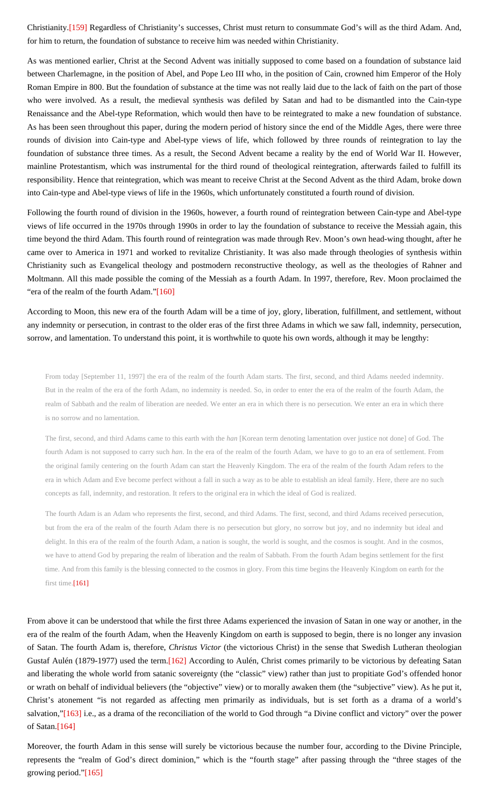<span id="page-21-0"></span>Christianity[.\[159\]](#page-27-13) Regardless of Christianity's successes, Christ must return to consummate God's will as the third Adam. And, for him to return, the foundation of substance to receive him was needed within Christianity.

As was mentioned earlier, Christ at the Second Advent was initially supposed to come based on a foundation of substance laid between Charlemagne, in the position of Abel, and Pope Leo III who, in the position of Cain, crowned him Emperor of the Holy Roman Empire in 800. But the foundation of substance at the time was not really laid due to the lack of faith on the part of those who were involved. As a result, the medieval synthesis was defiled by Satan and had to be dismantled into the Cain-type Renaissance and the Abel-type Reformation, which would then have to be reintegrated to make a new foundation of substance. As has been seen throughout this paper, during the modern period of history since the end of the Middle Ages, there were three rounds of division into Cain-type and Abel-type views of life, which followed by three rounds of reintegration to lay the foundation of substance three times. As a result, the Second Advent became a reality by the end of World War II. However, mainline Protestantism, which was instrumental for the third round of theological reintegration, afterwards failed to fulfill its responsibility. Hence that reintegration, which was meant to receive Christ at the Second Advent as the third Adam, broke down into Cain-type and Abel-type views of life in the 1960s, which unfortunately constituted a fourth round of division.

Following the fourth round of division in the 1960s, however, a fourth round of reintegration between Cain-type and Abel-type views of life occurred in the 1970s through 1990s in order to lay the foundation of substance to receive the Messiah again, this time beyond the third Adam. This fourth round of reintegration was made through Rev. Moon's own head-wing thought, after he came over to America in 1971 and worked to revitalize Christianity. It was also made through theologies of synthesis within Christianity such as Evangelical theology and postmodern reconstructive theology, as well as the theologies of Rahner and Moltmann. All this made possible the coming of the Messiah as a fourth Adam. In 1997, therefore, Rev. Moon proclaimed the "era of the realm of the fourth Adam.["\[160\]](#page-27-14)

<span id="page-21-1"></span>According to Moon, this new era of the fourth Adam will be a time of joy, glory, liberation, fulfillment, and settlement, without any indemnity or persecution, in contrast to the older eras of the first three Adams in which we saw fall, indemnity, persecution, sorrow, and lamentation. To understand this point, it is worthwhile to quote his own words, although it may be lengthy:

From today [September 11, 1997] the era of the realm of the fourth Adam starts. The first, second, and third Adams needed indemnity. But in the realm of the era of the forth Adam, no indemnity is needed. So, in order to enter the era of the realm of the fourth Adam, the realm of Sabbath and the realm of liberation are needed. We enter an era in which there is no persecution. We enter an era in which there is no sorrow and no lamentation.

The first, second, and third Adams came to this earth with the *han* [Korean term denoting lamentation over justice not done] of God. The fourth Adam is not supposed to carry such *han*. In the era of the realm of the fourth Adam, we have to go to an era of settlement. From the original family centering on the fourth Adam can start the Heavenly Kingdom. The era of the realm of the fourth Adam refers to the era in which Adam and Eve become perfect without a fall in such a way as to be able to establish an ideal family. Here, there are no such concepts as fall, indemnity, and restoration. It refers to the original era in which the ideal of God is realized.

The fourth Adam is an Adam who represents the first, second, and third Adams. The first, second, and third Adams received persecution, but from the era of the realm of the fourth Adam there is no persecution but glory, no sorrow but joy, and no indemnity but ideal and delight. In this era of the realm of the fourth Adam, a nation is sought, the world is sought, and the cosmos is sought. And in the cosmos, we have to attend God by preparing the realm of liberation and the realm of Sabbath. From the fourth Adam begins settlement for the first time. And from this family is the blessing connected to the cosmos in glory. From this time begins the Heavenly Kingdom on earth for the first time[.\[161\]](#page-27-15)

<span id="page-21-3"></span><span id="page-21-2"></span>From above it can be understood that while the first three Adams experienced the invasion of Satan in one way or another, in the era of the realm of the fourth Adam, when the Heavenly Kingdom on earth is supposed to begin, there is no longer any invasion of Satan. The fourth Adam is, therefore, *Christus Victor* (the victorious Christ) in the sense that Swedish Lutheran theologian Gustaf Aulén (1879-1977) used the term[.\[162\]](#page-27-16) According to Aulén, Christ comes primarily to be victorious by defeating Satan and liberating the whole world from satanic sovereignty (the "classic" view) rather than just to propitiate God's offended honor or wrath on behalf of individual believers (the "objective" view) or to morally awaken them (the "subjective" view). As he put it, Christ's atonement "is not regarded as affecting men primarily as individuals, but is set forth as a drama of a world's salvation,["\[163\]](#page-27-17) i.e., as a drama of the reconciliation of the world to God through "a Divine conflict and victory" over the power of Satan[.\[164\]](#page-27-18)

<span id="page-21-6"></span><span id="page-21-5"></span><span id="page-21-4"></span>Moreover, the fourth Adam in this sense will surely be victorious because the number four, according to the Divine Principle, represents the "realm of God's direct dominion," which is the "fourth stage" after passing through the "three stages of the growing period.["\[165\]](#page-27-19)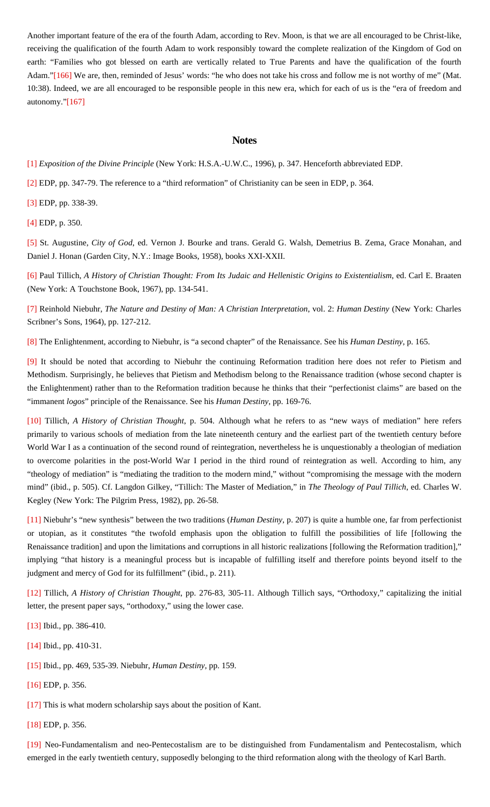<span id="page-22-19"></span>Another important feature of the era of the fourth Adam, according to Rev. Moon, is that we are all encouraged to be Christ-like, receiving the qualification of the fourth Adam to work responsibly toward the complete realization of the Kingdom of God on earth: "Families who got blessed on earth are vertically related to True Parents and have the qualification of the fourth Adam.["\[166\]](#page-27-20) We are, then, reminded of Jesus' words: "he who does not take his cross and follow me is not worthy of me" (Mat. 10:38). Indeed, we are all encouraged to be responsible people in this new era, which for each of us is the "era of freedom and autonomy.["\[167\]](#page-27-21)

## **Notes**

<span id="page-22-20"></span><span id="page-22-0"></span>[\[1\]](#page-0-1) *Exposition of the Divine Principle* (New York: H.S.A.-U.W.C., 1996), p. 347. Henceforth abbreviated EDP.

<span id="page-22-1"></span>[\[2\]](#page-0-2) EDP, pp. 347-79. The reference to a "third reformation" of Christianity can be seen in EDP, p. 364.

<span id="page-22-2"></span>[\[3\]](#page-0-3) EDP, pp. 338-39.

<span id="page-22-3"></span>[\[4\]](#page-0-4) EDP, p. 350.

<span id="page-22-4"></span>[\[5\]](#page-0-5) St. Augustine, *City of God*, ed. Vernon J. Bourke and trans. Gerald G. Walsh, Demetrius B. Zema, Grace Monahan, and Daniel J. Honan (Garden City, N.Y.: Image Books, 1958), books XXI-XXII.

<span id="page-22-5"></span>[\[6\]](#page-0-6) Paul Tillich, *A History of Christian Thought: From Its Judaic and Hellenistic Origins to Existentialism*, ed. Carl E. Braaten (New York: A Touchstone Book, 1967), pp. 134-541.

<span id="page-22-6"></span>[\[7\]](#page-0-7) Reinhold Niebuhr, *The Nature and Destiny of Man: A Christian Interpretation*, vol. 2: *Human Destiny* (New York: Charles Scribner's Sons, 1964), pp. 127-212.

<span id="page-22-7"></span>[\[8\]](#page-0-8) The Enlightenment, according to Niebuhr, is "a second chapter" of the Renaissance. See his *Human Destiny*, p. 165.

<span id="page-22-8"></span>[\[9\]](#page-0-8) It should be noted that according to Niebuhr the continuing Reformation tradition here does not refer to Pietism and Methodism. Surprisingly, he believes that Pietism and Methodism belong to the Renaissance tradition (whose second chapter is the Enlightenment) rather than to the Reformation tradition because he thinks that their "perfectionist claims" are based on the "immanent *logos*" principle of the Renaissance. See his *Human Destiny*, pp. 169-76.

<span id="page-22-9"></span>[\[10\]](#page-0-9) Tillich, *A History of Christian Thought*, p. 504. Although what he refers to as "new ways of mediation" here refers primarily to various schools of mediation from the late nineteenth century and the earliest part of the twentieth century before World War I as a continuation of the second round of reintegration, nevertheless he is unquestionably a theologian of mediation to overcome polarities in the post-World War I period in the third round of reintegration as well. According to him, any "theology of mediation" is "mediating the tradition to the modern mind," without "compromising the message with the modern mind" (ibid., p. 505). Cf. Langdon Gilkey, "Tillich: The Master of Mediation," in *The Theology of Paul Tillich*, ed. Charles W. Kegley (New York: The Pilgrim Press, 1982), pp. 26-58.

<span id="page-22-10"></span>[\[11\]](#page-0-9) Niebuhr's "new synthesis" between the two traditions (*Human Destiny*, p. 207) is quite a humble one, far from perfectionist or utopian, as it constitutes "the twofold emphasis upon the obligation to fulfill the possibilities of life [following the Renaissance tradition] and upon the limitations and corruptions in all historic realizations [following the Reformation tradition]," implying "that history is a meaningful process but is incapable of fulfilling itself and therefore points beyond itself to the judgment and mercy of God for its fulfillment" (ibid., p. 211).

<span id="page-22-11"></span>[\[12\]](#page-0-10) Tillich, *A History of Christian Thought*, pp. 276-83, 305-11. Although Tillich says, "Orthodoxy," capitalizing the initial letter, the present paper says, "orthodoxy," using the lower case.

<span id="page-22-12"></span>[\[13\]](#page-0-11) Ibid., pp. 386-410.

<span id="page-22-13"></span>[\[14\]](#page-0-12) Ibid., pp. 410-31.

<span id="page-22-14"></span>[\[15\]](#page-0-13) Ibid., pp. 469, 535-39. Niebuhr, *Human Destiny*, pp. 159.

<span id="page-22-15"></span>[\[16\]](#page-1-0) EDP, p. 356.

<span id="page-22-16"></span>[\[17\]](#page-1-1) This is what modern scholarship says about the position of Kant.

<span id="page-22-17"></span>[\[18\]](#page-1-2) EDP, p. 356.

<span id="page-22-18"></span>[\[19\]](#page-1-3) Neo-Fundamentalism and neo-Pentecostalism are to be distinguished from Fundamentalism and Pentecostalism, which emerged in the early twentieth century, supposedly belonging to the third reformation along with the theology of Karl Barth.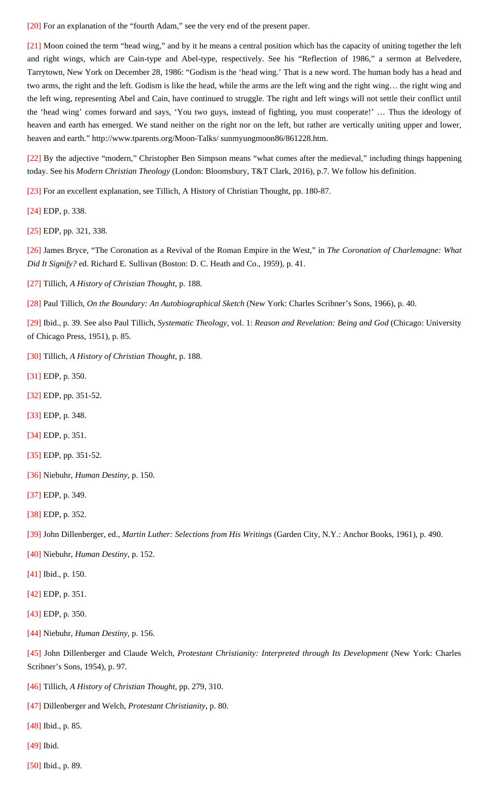<span id="page-23-0"></span>[\[20\]](#page-1-4) For an explanation of the "fourth Adam," see the very end of the present paper.

<span id="page-23-1"></span>[\[21\]](#page-1-5) Moon coined the term "head wing," and by it he means a central position which has the capacity of uniting together the left and right wings, which are Cain-type and Abel-type, respectively. See his "Reflection of 1986," a sermon at Belvedere, Tarrytown, New York on December 28, 1986: "Godism is the 'head wing.' That is a new word. The human body has a head and two arms, the right and the left. Godism is like the head, while the arms are the left wing and the right wing… the right wing and the left wing, representing Abel and Cain, have continued to struggle. The right and left wings will not settle their conflict until the 'head wing' comes forward and says, 'You two guys, instead of fighting, you must cooperate!' … Thus the ideology of heaven and earth has emerged. We stand neither on the right nor on the left, but rather are vertically uniting upper and lower, heaven and earth." http://www.tparents.org/Moon-Talks/ sunmyungmoon86/861228.htm.

<span id="page-23-2"></span>[\[22\]](#page-1-6) By the adjective "modern," Christopher Ben Simpson means "what comes after the medieval," including things happening today. See his *Modern Christian Theology* (London: Bloomsbury, T&T Clark, 2016), p.7. We follow his definition.

<span id="page-23-3"></span>[\[23\]](#page-1-7) For an excellent explanation, see Tillich, A History of Christian Thought, pp. 180-87.

<span id="page-23-4"></span>[\[24\]](#page-2-0) EDP, p. 338.

<span id="page-23-5"></span>[\[25\]](#page-2-1) EDP, pp. 321, 338.

<span id="page-23-6"></span>[\[26\]](#page-2-2) James Bryce, "The Coronation as a Revival of the Roman Empire in the West," in *The Coronation of Charlemagne: What Did It Signify?* ed. Richard E. Sullivan (Boston: D. C. Heath and Co., 1959), p. 41.

<span id="page-23-7"></span>[\[27\]](#page-2-3) Tillich, *A History of Christian Thought*, p. 188.

<span id="page-23-8"></span>[\[28\]](#page-2-4) Paul Tillich, *On the Boundary: An Autobiographical Sketch* (New York: Charles Scribner's Sons, 1966), p. 40.

<span id="page-23-9"></span>[\[29\]](#page-2-5) Ibid., p. 39. See also Paul Tillich, *Systematic Theology*, vol. 1: *Reason and Revelation: Being and God* (Chicago: University of Chicago Press, 1951), p. 85.

- <span id="page-23-10"></span>[\[30\]](#page-2-6) Tillich, *A History of Christian Thought*, p. 188.
- <span id="page-23-11"></span>[\[31\]](#page-2-7) EDP, p. 350.
- <span id="page-23-12"></span>[\[32\]](#page-2-8) EDP, pp. 351-52.
- <span id="page-23-13"></span>[\[33\]](#page-2-9) EDP, p. 348.
- <span id="page-23-14"></span>[\[34\]](#page-2-10) EDP, p. 351.
- <span id="page-23-15"></span>[\[35\]](#page-3-0) EDP, pp. 351-52.
- <span id="page-23-16"></span>[\[36\]](#page-3-1) Niebuhr, *Human Destiny*, p. 150.
- <span id="page-23-17"></span>[\[37\]](#page-3-2) EDP, p. 349.
- <span id="page-23-18"></span>[\[38\]](#page-3-3) EDP, p. 352.
- <span id="page-23-19"></span>[\[39\]](#page-3-4) John Dillenberger, ed., *Martin Luther: Selections from His Writings* (Garden City, N.Y.: Anchor Books, 1961), p. 490.
- <span id="page-23-20"></span>[\[40\]](#page-3-5) Niebuhr, *Human Destiny*, p. 152.
- <span id="page-23-21"></span>[\[41\]](#page-3-6) Ibid., p. 150.
- <span id="page-23-22"></span>[\[42\]](#page-3-7) EDP, p. 351.
- <span id="page-23-23"></span>[\[43\]](#page-3-8) EDP, p. 350.
- <span id="page-23-24"></span>[\[44\]](#page-3-9) Niebuhr, *Human Destiny*, p. 156.

<span id="page-23-25"></span>[\[45\]](#page-3-10) John Dillenberger and Claude Welch, *Protestant Christianity: Interpreted through Its Development* (New York: Charles Scribner's Sons, 1954), p. 97.

- <span id="page-23-26"></span>[\[46\]](#page-3-11) Tillich, *A History of Christian Thought*, pp. 279, 310.
- <span id="page-23-27"></span>[\[47\]](#page-3-12) Dillenberger and Welch, *Protestant Christianity*, p. 80.
- <span id="page-23-28"></span>[\[48\]](#page-4-0) Ibid., p. 85.
- <span id="page-23-29"></span>[\[49\]](#page-4-1) Ibid.
- <span id="page-23-30"></span>[\[50\]](#page-4-2) Ibid., p. 89.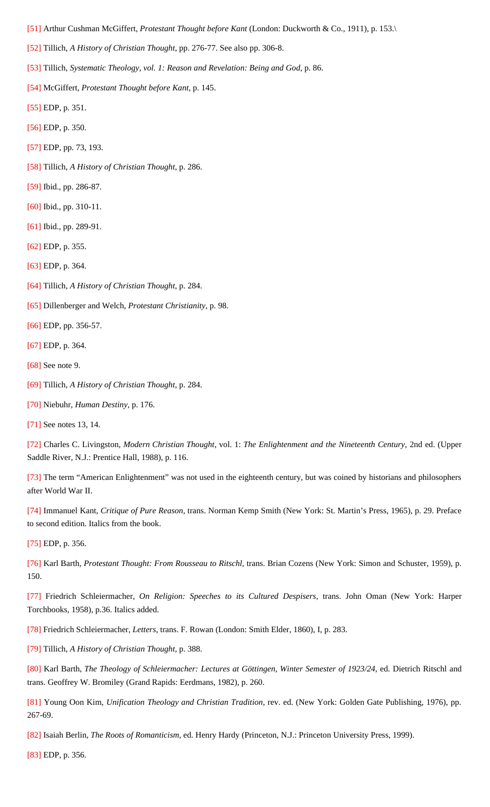- <span id="page-24-0"></span>[\[51\]](#page-4-3) Arthur Cushman McGiffert, *Protestant Thought before Kant* (London: Duckworth & Co., 1911), p. 153.\
- <span id="page-24-1"></span>[\[52\]](#page-4-4) Tillich, *A History of Christian Thought*, pp. 276-77. See also pp. 306-8.
- <span id="page-24-2"></span>[\[53\]](#page-4-5) Tillich, *Systematic Theology, vol. 1: Reason and Revelation: Being and God*, p. 86.
- <span id="page-24-3"></span>[\[54\]](#page-4-6) McGiffert, *Protestant Thought before Kant*, p. 145.
- <span id="page-24-4"></span>[\[55\]](#page-4-7) EDP, p. 351.
- <span id="page-24-5"></span>[\[56\]](#page-4-8) EDP, p. 350.
- <span id="page-24-6"></span>[\[57\]](#page-4-9) EDP, pp. 73, 193.
- <span id="page-24-7"></span>[\[58\]](#page-4-10) Tillich, *A History of Christian Thought*, p. 286.
- <span id="page-24-8"></span>[\[59\]](#page-5-0) Ibid., pp. 286-87.
- <span id="page-24-9"></span>[\[60\]](#page-5-1) Ibid., pp. 310-11.
- <span id="page-24-10"></span>[\[61\]](#page-5-2) Ibid., pp. 289-91.
- <span id="page-24-11"></span>[\[62\]](#page-5-3) EDP, p. 355.
- <span id="page-24-12"></span>[\[63\]](#page-5-4) EDP, p. 364.
- <span id="page-24-13"></span>[\[64\]](#page-5-5) Tillich, *A History of Christian Thought*, p. 284.
- <span id="page-24-14"></span>[\[65\]](#page-5-6) Dillenberger and Welch, *Protestant Christianity*, p. 98.
- <span id="page-24-15"></span>[\[66\]](#page-5-7) EDP, pp. 356-57.
- <span id="page-24-16"></span>[\[67\]](#page-5-7) EDP, p. 364.
- <span id="page-24-17"></span>[\[68\]](#page-6-0) See note 9.
- <span id="page-24-18"></span>[\[69\]](#page-6-1) Tillich, *A History of Christian Thought*, p. 284.
- <span id="page-24-19"></span>[\[70\]](#page-6-2) Niebuhr, *Human Destiny*, p. 176.
- <span id="page-24-20"></span>[\[71\]](#page-6-3) See notes 13, 14.

<span id="page-24-21"></span>[\[72\]](#page-6-4) Charles C. Livingston, *Modern Christian Thought*, vol. 1: *The Enlightenment and the Nineteenth Century*, 2nd ed. (Upper Saddle River, N.J.: Prentice Hall, 1988), p. 116.

<span id="page-24-22"></span>[\[73\]](#page-6-5) The term "American Enlightenment" was not used in the eighteenth century, but was coined by historians and philosophers after World War II.

<span id="page-24-23"></span>[\[74\]](#page-6-6) Immanuel Kant, *Critique of Pure Reason*, trans. Norman Kemp Smith (New York: St. Martin's Press, 1965), p. 29. Preface to second edition. Italics from the book.

<span id="page-24-24"></span>[\[75\]](#page-7-0) EDP, p. 356.

<span id="page-24-25"></span>[\[76\]](#page-7-1) Karl Barth, *Protestant Thought: From Rousseau to Ritschl*, trans. Brian Cozens (New York: Simon and Schuster, 1959), p. 150.

<span id="page-24-26"></span>[\[77\]](#page-7-2) Friedrich Schleiermacher, *On Religion: Speeches to its Cultured Despisers*, trans. John Oman (New York: Harper Torchbooks, 1958), p.36. Italics added.

<span id="page-24-27"></span>[\[78\]](#page-7-3) Friedrich Schleiermacher, *Letters*, trans. F. Rowan (London: Smith Elder, 1860), I, p. 283.

<span id="page-24-28"></span>[\[79\]](#page-7-4) Tillich, *A History of Christian Thought*, p. 388.

<span id="page-24-29"></span>[\[80\]](#page-7-5) Karl Barth, *The Theology of Schleiermacher: Lectures at Göttingen, Winter Semester of 1923/24*, ed. Dietrich Ritschl and trans. Geoffrey W. Bromiley (Grand Rapids: Eerdmans, 1982), p. 260.

<span id="page-24-30"></span>[\[81\]](#page-7-6) Young Oon Kim, *Unification Theology and Christian Tradition*, rev. ed. (New York: Golden Gate Publishing, 1976), pp. 267-69.

<span id="page-24-31"></span>[\[82\]](#page-8-0) Isaiah Berlin, *The Roots of Romanticism*, ed. Henry Hardy (Princeton, N.J.: Princeton University Press, 1999).

<span id="page-24-32"></span>[\[83\]](#page-8-1) EDP, p. 356.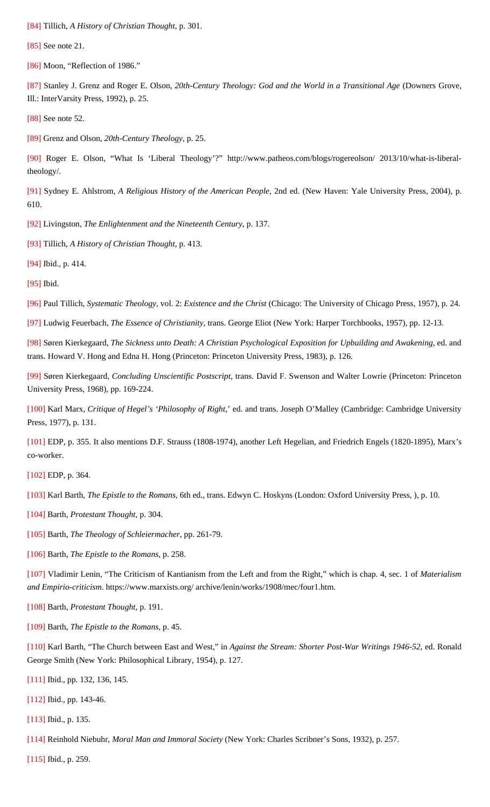<span id="page-25-0"></span>[\[84\]](#page-8-2) Tillich, *A History of Christian Thought*, p. 301.

<span id="page-25-1"></span>[\[85\]](#page-8-3) See note 21.

<span id="page-25-2"></span>[\[86\]](#page-8-4) Moon, "Reflection of 1986."

<span id="page-25-3"></span>[\[87\]](#page-8-5) Stanley J. Grenz and Roger E. Olson, *20th-Century Theology: God and the World in a Transitional Age* (Downers Grove, Ill.: InterVarsity Press, 1992), p. 25.

<span id="page-25-4"></span>[\[88\]](#page-8-6) See note 52.

<span id="page-25-5"></span>[\[89\]](#page-9-0) Grenz and Olson, *20th-Century Theology*, p. 25.

<span id="page-25-6"></span>[\[90\]](#page-9-1) Roger E. Olson, "What Is 'Liberal Theology'?" http://www.patheos.com/blogs/rogereolson/ 2013/10/what-is-liberaltheology/.

<span id="page-25-7"></span>[\[91\]](#page-9-2) Sydney E. Ahlstrom, *A Religious History of the American People*, 2nd ed. (New Haven: Yale University Press, 2004), p. 610.

<span id="page-25-8"></span>[\[92\]](#page-9-3) Livingston, *The Enlightenment and the Nineteenth Century*, p. 137.

<span id="page-25-9"></span>[\[93\]](#page-10-0) Tillich, *A History of Christian Thought*, p. 413.

<span id="page-25-10"></span>[\[94\]](#page-10-1) Ibid., p. 414.

<span id="page-25-11"></span>[\[95\]](#page-10-2) Ibid.

<span id="page-25-12"></span>[\[96\]](#page-10-3) Paul Tillich, *Systematic Theology*, vol. 2: *Existence and the Christ* (Chicago: The University of Chicago Press, 1957), p. 24.

<span id="page-25-13"></span>[\[97\]](#page-10-4) Ludwig Feuerbach, *The Essence of Christianity*, trans. George Eliot (New York: Harper Torchbooks, 1957), pp. 12-13.

<span id="page-25-14"></span>[\[98\]](#page-10-5) Søren Kierkegaard, *The Sickness unto Death: A Christian Psychological Exposition for Upbuilding and Awakening*, ed. and trans. Howard V. Hong and Edna H. Hong (Princeton: Princeton University Press, 1983), p. 126.

<span id="page-25-15"></span>[\[99\]](#page-11-0) Søren Kierkegaard, *Concluding Unscientific Postscript*, trans. David F. Swenson and Walter Lowrie (Princeton: Princeton University Press, 1968), pp. 169-224.

<span id="page-25-16"></span>[\[100\]](#page-11-1) Karl Marx, *Critique of Hegel's 'Philosophy of Right*,' ed. and trans. Joseph O'Malley (Cambridge: Cambridge University Press, 1977), p. 131.

<span id="page-25-17"></span>[\[101\]](#page-11-2) EDP, p. 355. It also mentions D.F. Strauss (1808-1974), another Left Hegelian, and Friedrich Engels (1820-1895), Marx's co-worker.

<span id="page-25-18"></span>[\[102\]](#page-11-3) EDP, p. 364.

<span id="page-25-19"></span>[\[103\]](#page-11-4) Karl Barth, *The Epistle to the Romans*, 6th ed., trans. Edwyn C. Hoskyns (London: Oxford University Press, ), p. 10.

<span id="page-25-20"></span>[\[104\]](#page-11-5) Barth, *Protestant Thought*, p. 304.

<span id="page-25-21"></span>[\[105\]](#page-12-0) Barth, *The Theology of Schleiermacher*, pp. 261-79.

<span id="page-25-22"></span>[\[106\]](#page-12-1) Barth, *The Epistle to the Romans*, p. 258.

<span id="page-25-23"></span>[\[107\]](#page-12-2) Vladimir Lenin, "The Criticism of Kantianism from the Left and from the Right," which is chap. 4, sec. 1 of *Materialism and Empirio-criticism*. https://www.marxists.org/ archive/lenin/works/1908/mec/four1.htm.

<span id="page-25-24"></span>[\[108\]](#page-12-3) Barth, *Protestant Thought*, p. 191.

<span id="page-25-25"></span>[\[109\]](#page-12-4) Barth, *The Epistle to the Romans*, p. 45.

<span id="page-25-26"></span>[\[110\]](#page-13-0) Karl Barth, "The Church between East and West," in *Against the Stream: Shorter Post-War Writings 1946-52*, ed. Ronald George Smith (New York: Philosophical Library, 1954), p. 127.

<span id="page-25-27"></span>[\[111\]](#page-13-1) Ibid., pp. 132, 136, 145.

<span id="page-25-28"></span>[\[112\]](#page-13-2) Ibid., pp. 143-46.

<span id="page-25-29"></span>[\[113\]](#page-13-3) Ibid., p. 135.

<span id="page-25-30"></span>[\[114\]](#page-13-4) Reinhold Niebuhr, *Moral Man and Immoral Society* (New York: Charles Scribner's Sons, 1932), p. 257.

<span id="page-25-31"></span>[\[115\]](#page-13-4) Ibid., p. 259.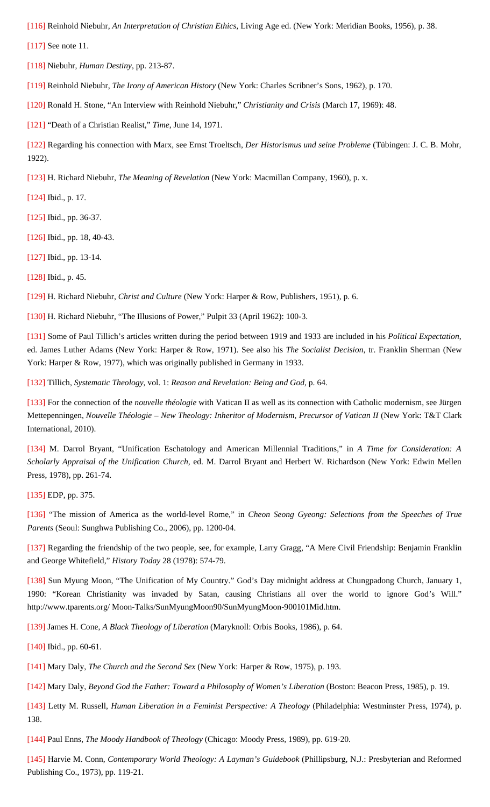<span id="page-26-0"></span>[\[116\]](#page-14-0) Reinhold Niebuhr, *An Interpretation of Christian Ethics*, Living Age ed. (New York: Meridian Books, 1956), p. 38.

<span id="page-26-1"></span>[\[117\]](#page-14-1) See note 11.

<span id="page-26-2"></span>[\[118\]](#page-14-2) Niebuhr, *Human Destiny*, pp. 213-87.

<span id="page-26-3"></span>[\[119\]](#page-14-3) Reinhold Niebuhr, *The Irony of American History* (New York: Charles Scribner's Sons, 1962), p. 170.

<span id="page-26-4"></span>[\[120\]](#page-14-4) Ronald H. Stone, "An Interview with Reinhold Niebuhr," *Christianity and Crisis* (March 17, 1969): 48.

<span id="page-26-5"></span>[\[121\]](#page-14-5) "Death of a Christian Realist," *Time*, June 14, 1971.

<span id="page-26-6"></span>[\[122\]](#page-14-6) Regarding his connection with Marx, see Ernst Troeltsch, *Der Historismus und seine Probleme* (Tübingen: J. C. B. Mohr, 1922).

<span id="page-26-7"></span>[\[123\]](#page-14-7) H. Richard Niebuhr, *The Meaning of Revelation* (New York: Macmillan Company, 1960), p. x.

<span id="page-26-8"></span>[\[124\]](#page-14-8) Ibid., p. 17.

<span id="page-26-9"></span>[\[125\]](#page-14-8) Ibid., pp. 36-37.

<span id="page-26-10"></span>[\[126\]](#page-14-8) Ibid., pp. 18, 40-43.

<span id="page-26-11"></span>[\[127\]](#page-14-9) Ibid., pp. 13-14.

<span id="page-26-12"></span>[\[128\]](#page-14-10) Ibid., p. 45.

<span id="page-26-13"></span>[\[129\]](#page-14-11) H. Richard Niebuhr, *Christ and Culture* (New York: Harper & Row, Publishers, 1951), p. 6.

<span id="page-26-14"></span>[\[130\]](#page-14-12) H. Richard Niebuhr, "The Illusions of Power," Pulpit 33 (April 1962): 100-3.

<span id="page-26-15"></span>[\[131\]](#page-15-0) Some of Paul Tillich's articles written during the period between 1919 and 1933 are included in his *Political Expectation*, ed. James Luther Adams (New York: Harper & Row, 1971). See also his *The Socialist Decision*, tr. Franklin Sherman (New York: Harper & Row, 1977), which was originally published in Germany in 1933.

<span id="page-26-16"></span>[\[132\]](#page-15-1) Tillich, *Systematic Theology*, vol. 1: *Reason and Revelation: Being and God*, p. 64.

<span id="page-26-17"></span>[\[133\]](#page-15-2) For the connection of the *nouvelle théologie* with Vatican II as well as its connection with Catholic modernism, see Jürgen Mettepenningen, *Nouvelle Théologie – New Theology: Inheritor of Modernism, Precursor of Vatican II* (New York: T&T Clark International, 2010).

<span id="page-26-18"></span>[\[134\]](#page-15-3) M. Darrol Bryant, "Unification Eschatology and American Millennial Traditions," in *A Time for Consideration: A Scholarly Appraisal of the Unification Church*, ed. M. Darrol Bryant and Herbert W. Richardson (New York: Edwin Mellen Press, 1978), pp. 261-74.

<span id="page-26-19"></span>[\[135\]](#page-15-4) EDP, pp. 375.

<span id="page-26-20"></span>[\[136\]](#page-16-0) "The mission of America as the world-level Rome," in *Cheon Seong Gyeong: Selections from the Speeches of True Parents* (Seoul: Sunghwa Publishing Co., 2006), pp. 1200-04.

<span id="page-26-21"></span>[\[137\]](#page-16-1) Regarding the friendship of the two people, see, for example, Larry Gragg, "A Mere Civil Friendship: Benjamin Franklin and George Whitefield," *History Today* 28 (1978): 574-79.

<span id="page-26-22"></span>[\[138\]](#page-16-2) Sun Myung Moon, "The Unification of My Country." God's Day midnight address at Chungpadong Church, January 1, 1990: "Korean Christianity was invaded by Satan, causing Christians all over the world to ignore God's Will." http://www.tparents.org/ Moon-Talks/SunMyungMoon90/SunMyungMoon-900101Mid.htm.

<span id="page-26-23"></span>[\[139\]](#page-17-0) James H. Cone, *A Black Theology of Liberation* (Maryknoll: Orbis Books, 1986), p. 64.

<span id="page-26-24"></span>[\[140\]](#page-17-1) Ibid., pp. 60-61.

<span id="page-26-25"></span>[\[141\]](#page-17-2) Mary Daly, *The Church and the Second Sex* (New York: Harper & Row, 1975), p. 193.

<span id="page-26-26"></span>[\[142\]](#page-17-3) Mary Daly, *Beyond God the Father: Toward a Philosophy of Women's Liberation* (Boston: Beacon Press, 1985), p. 19.

<span id="page-26-27"></span>[\[143\]](#page-17-4) Letty M. Russell, *Human Liberation in a Feminist Perspective: A Theology* (Philadelphia: Westminster Press, 1974), p. 138.

<span id="page-26-28"></span>[\[144\]](#page-18-0) Paul Enns, *The Moody Handbook of Theology* (Chicago: Moody Press, 1989), pp. 619-20.

<span id="page-26-29"></span>[\[145\]](#page-18-1) Harvie M. Conn, *Contemporary World Theology: A Layman's Guidebook* (Phillipsburg, N.J.: Presbyterian and Reformed Publishing Co., 1973), pp. 119-21.